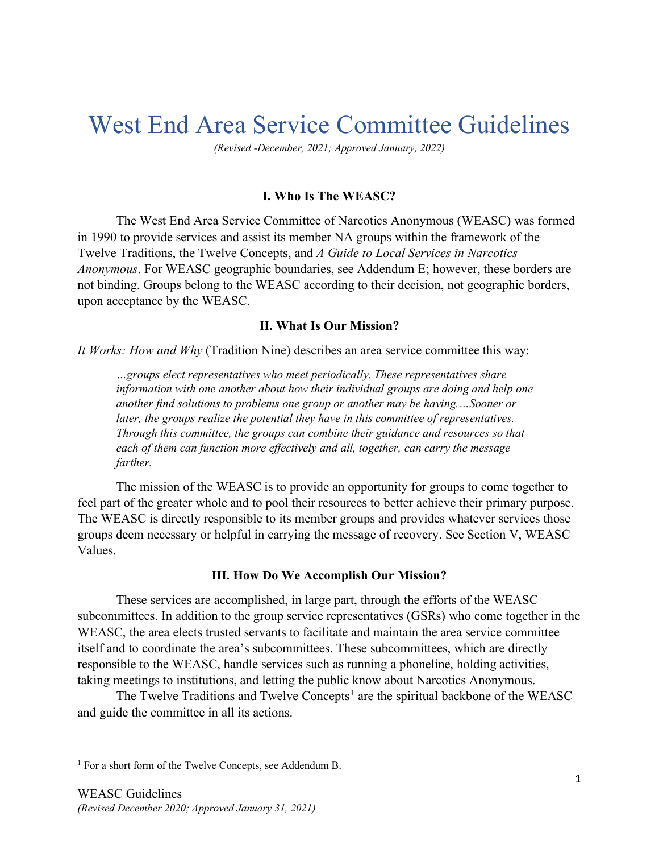# West End Area Service Committee Guidelines

*(Revised -December, 2021; Approved January, 2022)*

#### **I. Who Is The WEASC?**

The West End Area Service Committee of Narcotics Anonymous (WEASC) was formed in 1990 to provide services and assist its member NA groups within the framework of the Twelve Traditions, the Twelve Concepts, and *A Guide to Local Services in Narcotics Anonymous*. For WEASC geographic boundaries, see Addendum E; however, these borders are not binding. Groups belong to the WEASC according to their decision, not geographic borders, upon acceptance by the WEASC.

#### **II. What Is Our Mission?**

*It Works: How and Why* (Tradition Nine) describes an area service committee this way:

*…groups elect representatives who meet periodically. These representatives share information with one another about how their individual groups are doing and help one another find solutions to problems one group or another may be having.…Sooner or later, the groups realize the potential they have in this committee of representatives. Through this committee, the groups can combine their guidance and resources so that each of them can function more effectively and all, together, can carry the message farther.*

The mission of the WEASC is to provide an opportunity for groups to come together to feel part of the greater whole and to pool their resources to better achieve their primary purpose. The WEASC is directly responsible to its member groups and provides whatever services those groups deem necessary or helpful in carrying the message of recovery. See Section V, WEASC Values.

#### **III. How Do We Accomplish Our Mission?**

These services are accomplished, in large part, through the efforts of the WEASC subcommittees. In addition to the group service representatives (GSRs) who come together in the WEASC, the area elects trusted servants to facilitate and maintain the area service committee itself and to coordinate the area's subcommittees. These subcommittees, which are directly responsible to the WEASC, handle services such as running a phoneline, holding activities, taking meetings to institutions, and letting the public know about Narcotics Anonymous.

The Twelve Traditions and Twelve Concepts<sup>[1](#page-0-0)</sup> are the spiritual backbone of the WEASC and guide the committee in all its actions.

<span id="page-0-0"></span><sup>&</sup>lt;sup>1</sup> For a short form of the Twelve Concepts, see Addendum B.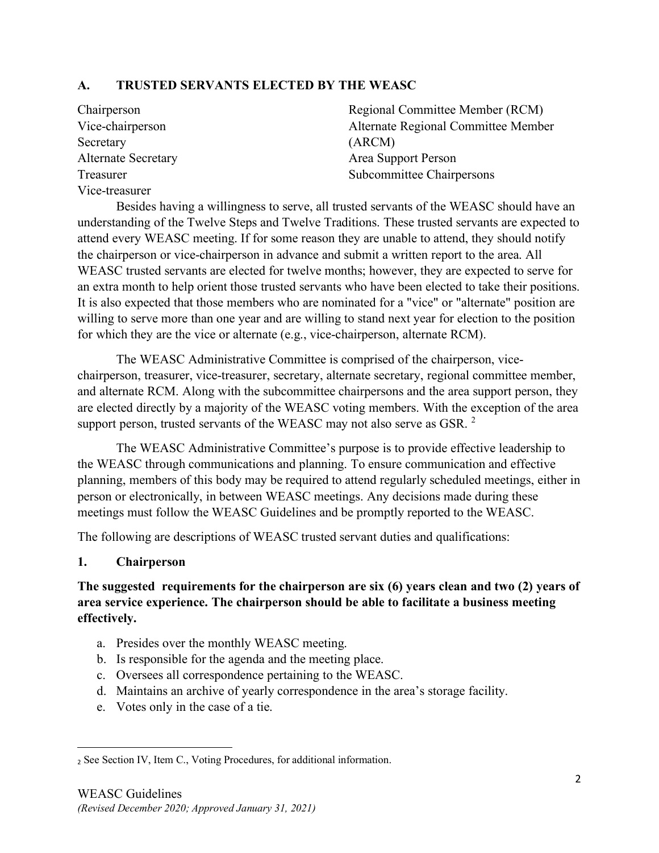#### **A. TRUSTED SERVANTS ELECTED BY THE WEASC**

| Chairperson                | Regional Committee Member (RCM)     |
|----------------------------|-------------------------------------|
| Vice-chairperson           | Alternate Regional Committee Member |
| Secretary                  | (ARCM)                              |
| <b>Alternate Secretary</b> | Area Support Person                 |
| Treasurer                  | Subcommittee Chairpersons           |
| Vice-treasurer             |                                     |

Besides having a willingness to serve, all trusted servants of the WEASC should have an understanding of the Twelve Steps and Twelve Traditions. These trusted servants are expected to attend every WEASC meeting. If for some reason they are unable to attend, they should notify the chairperson or vice-chairperson in advance and submit a written report to the area. All WEASC trusted servants are elected for twelve months; however, they are expected to serve for an extra month to help orient those trusted servants who have been elected to take their positions. It is also expected that those members who are nominated for a "vice" or "alternate" position are willing to serve more than one year and are willing to stand next year for election to the position for which they are the vice or alternate (e.g., vice-chairperson, alternate RCM).

The WEASC Administrative Committee is comprised of the chairperson, vicechairperson, treasurer, vice-treasurer, secretary, alternate secretary, regional committee member, and alternate RCM. Along with the subcommittee chairpersons and the area support person, they are elected directly by a majority of the WEASC voting members. With the exception of the area support person, trusted servants of the WEASC may not also serve as GSR.<sup>[2](#page-1-0)</sup>

The WEASC Administrative Committee's purpose is to provide effective leadership to the WEASC through communications and planning. To ensure communication and effective planning, members of this body may be required to attend regularly scheduled meetings, either in person or electronically, in between WEASC meetings. Any decisions made during these meetings must follow the WEASC Guidelines and be promptly reported to the WEASC.

The following are descriptions of WEASC trusted servant duties and qualifications:

#### **1. Chairperson**

### **The suggested requirements for the chairperson are six (6) years clean and two (2) years of area service experience. The chairperson should be able to facilitate a business meeting effectively.**

- a. Presides over the monthly WEASC meeting.
- b. Is responsible for the agenda and the meeting place.
- c. Oversees all correspondence pertaining to the WEASC.
- d. Maintains an archive of yearly correspondence in the area's storage facility.
- e. Votes only in the case of a tie.

<span id="page-1-0"></span><sup>2</sup> See Section IV, Item C., Voting Procedures, for additional information.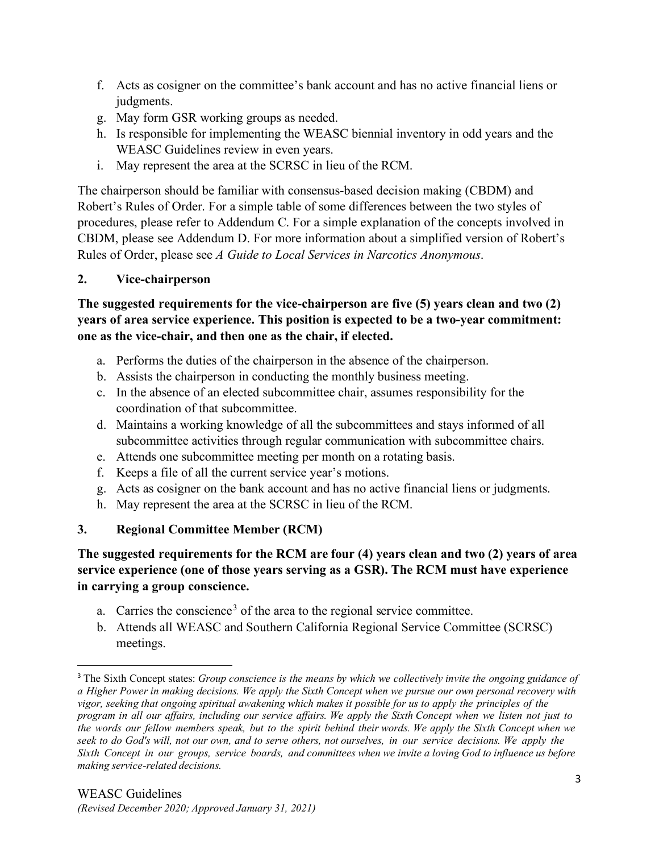- f. Acts as cosigner on the committee's bank account and has no active financial liens or judgments.
- g. May form GSR working groups as needed.
- h. Is responsible for implementing the WEASC biennial inventory in odd years and the WEASC Guidelines review in even years.
- i. May represent the area at the SCRSC in lieu of the RCM.

The chairperson should be familiar with consensus-based decision making (CBDM) and Robert's Rules of Order. For a simple table of some differences between the two styles of procedures, please refer to Addendum C. For a simple explanation of the concepts involved in CBDM, please see Addendum D. For more information about a simplified version of Robert's Rules of Order, please see *A Guide to Local Services in Narcotics Anonymous*.

## **2. Vice-chairperson**

**The suggested requirements for the vice-chairperson are five (5) years clean and two (2) years of area service experience. This position is expected to be a two-year commitment: one as the vice-chair, and then one as the chair, if elected.**

- a. Performs the duties of the chairperson in the absence of the chairperson.
- b. Assists the chairperson in conducting the monthly business meeting.
- c. In the absence of an elected subcommittee chair, assumes responsibility for the coordination of that subcommittee.
- d. Maintains a working knowledge of all the subcommittees and stays informed of all subcommittee activities through regular communication with subcommittee chairs.
- e. Attends one subcommittee meeting per month on a rotating basis.
- f. Keeps a file of all the current service year's motions.
- g. Acts as cosigner on the bank account and has no active financial liens or judgments.
- h. May represent the area at the SCRSC in lieu of the RCM.

## **3. Regional Committee Member (RCM)**

## **The suggested requirements for the RCM are four (4) years clean and two (2) years of area service experience (one of those years serving as a GSR). The RCM must have experience in carrying a group conscience.**

- a. Carries the conscience<sup>[3](#page-2-0)</sup> of the area to the regional service committee.
- b. Attends all WEASC and Southern California Regional Service Committee (SCRSC) meetings.

<span id="page-2-0"></span><sup>3</sup> The Sixth Concept states: *Group conscience is the means by which we collectively invite the ongoing guidance of a Higher Power in making decisions. We apply the Sixth Concept when we pursue our own personal recovery with vigor, seeking that ongoing spiritual awakening which makes it possible for us to apply the principles of the* program in all our affairs, including our service affairs. We apply the Sixth Concept when we listen not just to the words our fellow members speak, but to the spirit behind their words. We apply the Sixth Concept when we seek to do God's will, not our own, and to serve others, not ourselves, in our service decisions. We apply the Sixth Concept in our groups, service boards, and committees when we invite a loving God to influence us before *making service-related decisions.*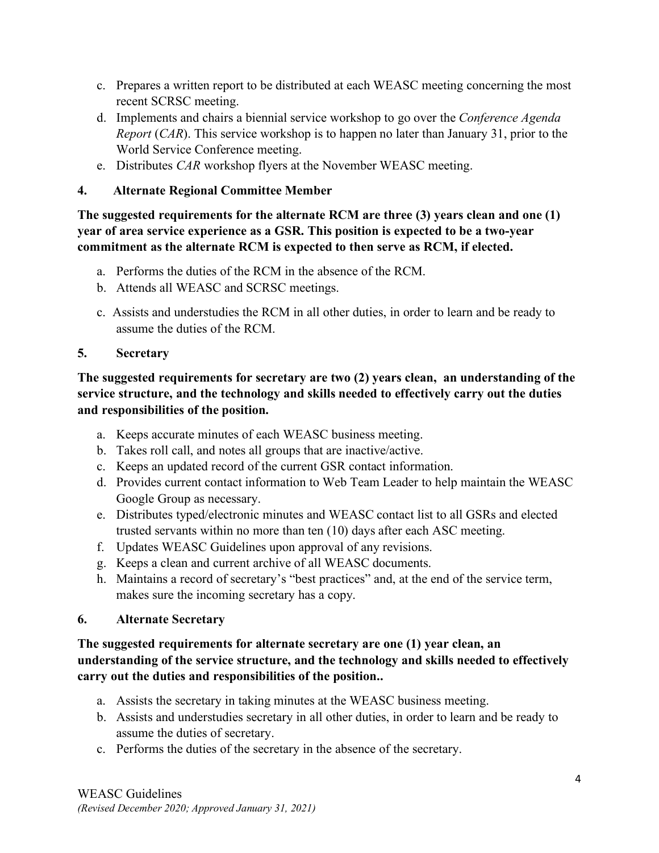- c. Prepares a written report to be distributed at each WEASC meeting concerning the most recent SCRSC meeting.
- d. Implements and chairs a biennial service workshop to go over the *Conference Agenda Report* (*CAR*). This service workshop is to happen no later than January 31, prior to the World Service Conference meeting.
- e. Distributes *CAR* workshop flyers at the November WEASC meeting.

## **4. Alternate Regional Committee Member**

**The suggested requirements for the alternate RCM are three (3) years clean and one (1) year of area service experience as a GSR. This position is expected to be a two-year commitment as the alternate RCM is expected to then serve as RCM, if elected.** 

- a. Performs the duties of the RCM in the absence of the RCM.
- b. Attends all WEASC and SCRSC meetings.
- c. Assists and understudies the RCM in all other duties, in order to learn and be ready to assume the duties of the RCM.

## **5. Secretary**

## **The suggested requirements for secretary are two (2) years clean, an understanding of the service structure, and the technology and skills needed to effectively carry out the duties and responsibilities of the position.**

- a. Keeps accurate minutes of each WEASC business meeting.
- b. Takes roll call, and notes all groups that are inactive/active.
- c. Keeps an updated record of the current GSR contact information.
- d. Provides current contact information to Web Team Leader to help maintain the WEASC Google Group as necessary.
- e. Distributes typed/electronic minutes and WEASC contact list to all GSRs and elected trusted servants within no more than ten (10) days after each ASC meeting.
- f. Updates WEASC Guidelines upon approval of any revisions.
- g. Keeps a clean and current archive of all WEASC documents.
- h. Maintains a record of secretary's "best practices" and, at the end of the service term, makes sure the incoming secretary has a copy.

## **6. Alternate Secretary**

### **The suggested requirements for alternate secretary are one (1) year clean, an understanding of the service structure, and the technology and skills needed to effectively carry out the duties and responsibilities of the position..**

- a. Assists the secretary in taking minutes at the WEASC business meeting.
- b. Assists and understudies secretary in all other duties, in order to learn and be ready to assume the duties of secretary.
- c. Performs the duties of the secretary in the absence of the secretary.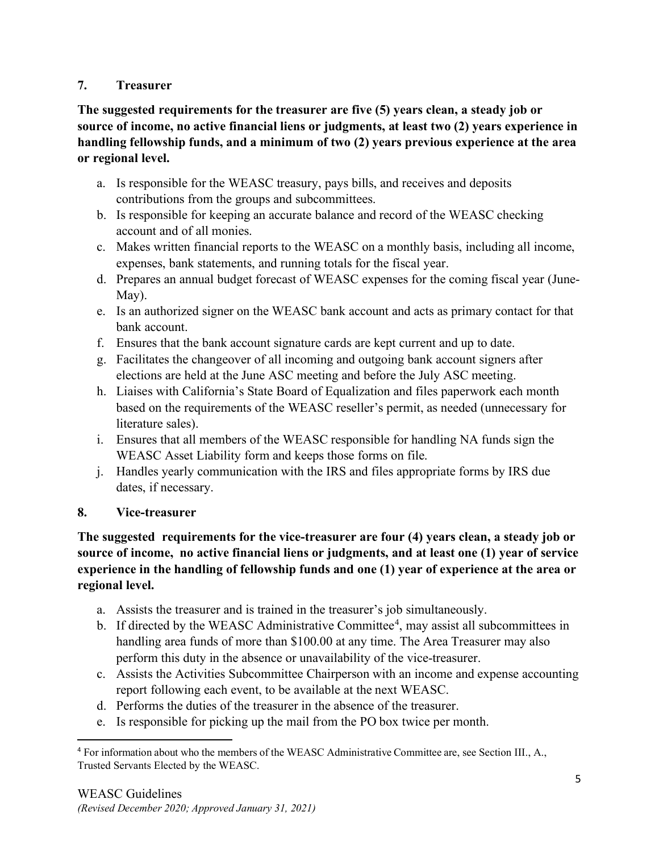#### **7. Treasurer**

**The suggested requirements for the treasurer are five (5) years clean, a steady job or source of income, no active financial liens or judgments, at least two (2) years experience in handling fellowship funds, and a minimum of two (2) years previous experience at the area or regional level.**

- a. Is responsible for the WEASC treasury, pays bills, and receives and deposits contributions from the groups and subcommittees.
- b. Is responsible for keeping an accurate balance and record of the WEASC checking account and of all monies.
- c. Makes written financial reports to the WEASC on a monthly basis, including all income, expenses, bank statements, and running totals for the fiscal year.
- d. Prepares an annual budget forecast of WEASC expenses for the coming fiscal year (June-May).
- e. Is an authorized signer on the WEASC bank account and acts as primary contact for that bank account.
- f. Ensures that the bank account signature cards are kept current and up to date.
- g. Facilitates the changeover of all incoming and outgoing bank account signers after elections are held at the June ASC meeting and before the July ASC meeting.
- h. Liaises with California's State Board of Equalization and files paperwork each month based on the requirements of the WEASC reseller's permit, as needed (unnecessary for literature sales).
- i. Ensures that all members of the WEASC responsible for handling NA funds sign the WEASC Asset Liability form and keeps those forms on file.
- j. Handles yearly communication with the IRS and files appropriate forms by IRS due dates, if necessary.

## **8. Vice-treasurer**

**The suggested requirements for the vice-treasurer are four (4) years clean, a steady job or source of income, no active financial liens or judgments, and at least one (1) year of service experience in the handling of fellowship funds and one (1) year of experience at the area or regional level.**

- a. Assists the treasurer and is trained in the treasurer's job simultaneously.
- b. If directed by the WEASC Administrative Committee<sup>[4](#page-4-0)</sup>, may assist all subcommittees in handling area funds of more than \$100.00 at any time. The Area Treasurer may also perform this duty in the absence or unavailability of the vice-treasurer.
- c. Assists the Activities Subcommittee Chairperson with an income and expense accounting report following each event, to be available at the next WEASC.
- d. Performs the duties of the treasurer in the absence of the treasurer.
- e. Is responsible for picking up the mail from the PO box twice per month.

<span id="page-4-0"></span><sup>4</sup> For information about who the members of the WEASC Administrative Committee are, see Section III., A., Trusted Servants Elected by the WEASC.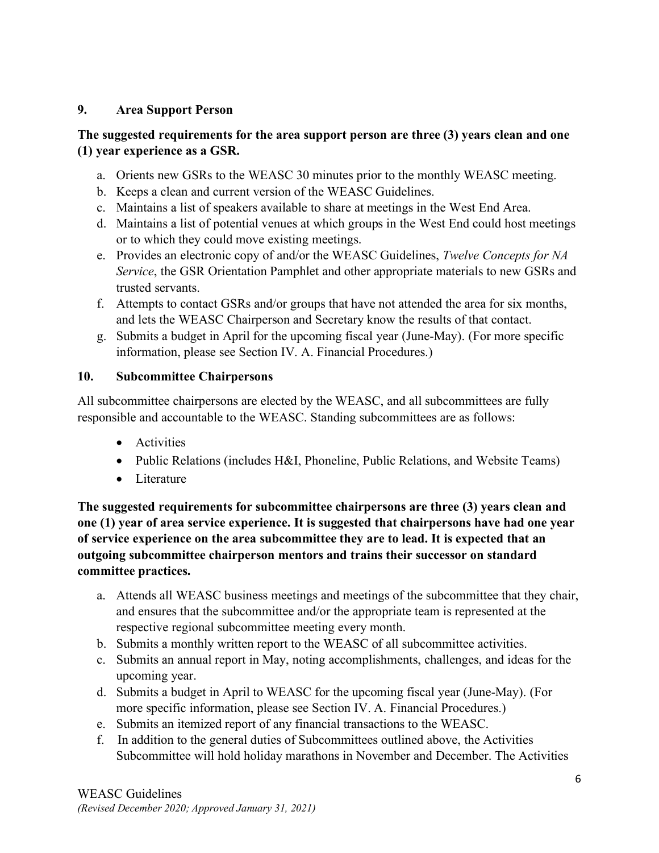## **9. Area Support Person**

### **The suggested requirements for the area support person are three (3) years clean and one (1) year experience as a GSR.**

- a. Orients new GSRs to the WEASC 30 minutes prior to the monthly WEASC meeting.
- b. Keeps a clean and current version of the WEASC Guidelines.
- c. Maintains a list of speakers available to share at meetings in the West End Area.
- d. Maintains a list of potential venues at which groups in the West End could host meetings or to which they could move existing meetings.
- e. Provides an electronic copy of and/or the WEASC Guidelines, *Twelve Concepts for NA Service*, the GSR Orientation Pamphlet and other appropriate materials to new GSRs and trusted servants.
- f. Attempts to contact GSRs and/or groups that have not attended the area for six months, and lets the WEASC Chairperson and Secretary know the results of that contact.
- g. Submits a budget in April for the upcoming fiscal year (June-May). (For more specific information, please see Section IV. A. Financial Procedures.)

#### **10. Subcommittee Chairpersons**

All subcommittee chairpersons are elected by the WEASC, and all subcommittees are fully responsible and accountable to the WEASC. Standing subcommittees are as follows:

- Activities
- Public Relations (includes H&I, Phoneline, Public Relations, and Website Teams)
- Literature

**The suggested requirements for subcommittee chairpersons are three (3) years clean and one (1) year of area service experience. It is suggested that chairpersons have had one year of service experience on the area subcommittee they are to lead. It is expected that an outgoing subcommittee chairperson mentors and trains their successor on standard committee practices.**

- a. Attends all WEASC business meetings and meetings of the subcommittee that they chair, and ensures that the subcommittee and/or the appropriate team is represented at the respective regional subcommittee meeting every month.
- b. Submits a monthly written report to the WEASC of all subcommittee activities.
- c. Submits an annual report in May, noting accomplishments, challenges, and ideas for the upcoming year.
- d. Submits a budget in April to WEASC for the upcoming fiscal year (June-May). (For more specific information, please see Section IV. A. Financial Procedures.)
- e. Submits an itemized report of any financial transactions to the WEASC.
- f. In addition to the general duties of Subcommittees outlined above, the Activities Subcommittee will hold holiday marathons in November and December. The Activities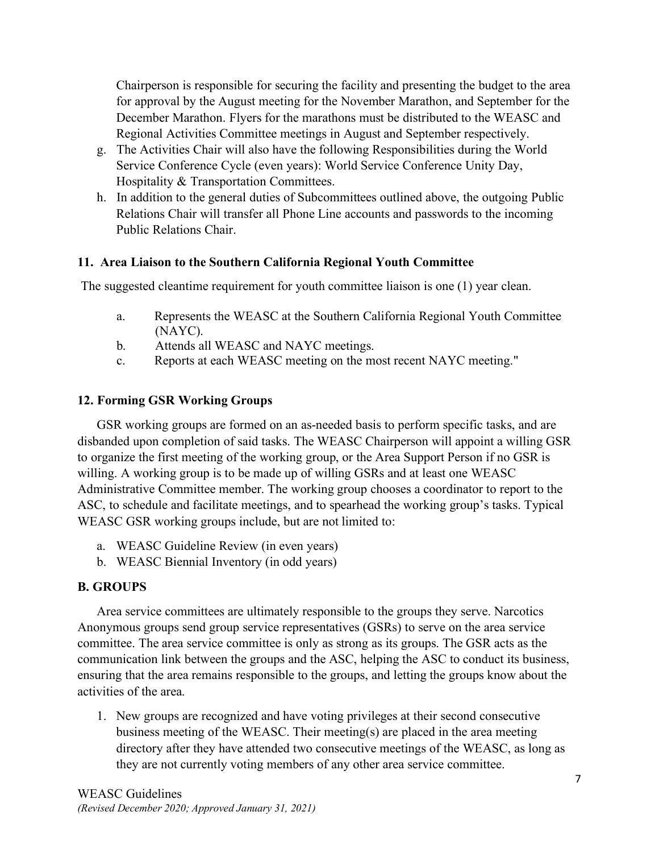Chairperson is responsible for securing the facility and presenting the budget to the area for approval by the August meeting for the November Marathon, and September for the December Marathon. Flyers for the marathons must be distributed to the WEASC and Regional Activities Committee meetings in August and September respectively.

- g. The Activities Chair will also have the following Responsibilities during the World Service Conference Cycle (even years): World Service Conference Unity Day, Hospitality & Transportation Committees.
- h. In addition to the general duties of Subcommittees outlined above, the outgoing Public Relations Chair will transfer all Phone Line accounts and passwords to the incoming Public Relations Chair.

#### **11. Area Liaison to the Southern California Regional Youth Committee**

The suggested cleantime requirement for youth committee liaison is one (1) year clean.

- a. Represents the WEASC at the Southern California Regional Youth Committee (NAYC).
- b. Attends all WEASC and NAYC meetings.
- c. Reports at each WEASC meeting on the most recent NAYC meeting."

#### **12. Forming GSR Working Groups**

GSR working groups are formed on an as-needed basis to perform specific tasks, and are disbanded upon completion of said tasks. The WEASC Chairperson will appoint a willing GSR to organize the first meeting of the working group, or the Area Support Person if no GSR is willing. A working group is to be made up of willing GSRs and at least one WEASC Administrative Committee member. The working group chooses a coordinator to report to the ASC, to schedule and facilitate meetings, and to spearhead the working group's tasks. Typical WEASC GSR working groups include, but are not limited to:

- a. WEASC Guideline Review (in even years)
- b. WEASC Biennial Inventory (in odd years)

#### **B. GROUPS**

Area service committees are ultimately responsible to the groups they serve. Narcotics Anonymous groups send group service representatives (GSRs) to serve on the area service committee. The area service committee is only as strong as its groups. The GSR acts as the communication link between the groups and the ASC, helping the ASC to conduct its business, ensuring that the area remains responsible to the groups, and letting the groups know about the activities of the area.

1. New groups are recognized and have voting privileges at their second consecutive business meeting of the WEASC. Their meeting(s) are placed in the area meeting directory after they have attended two consecutive meetings of the WEASC, as long as they are not currently voting members of any other area service committee.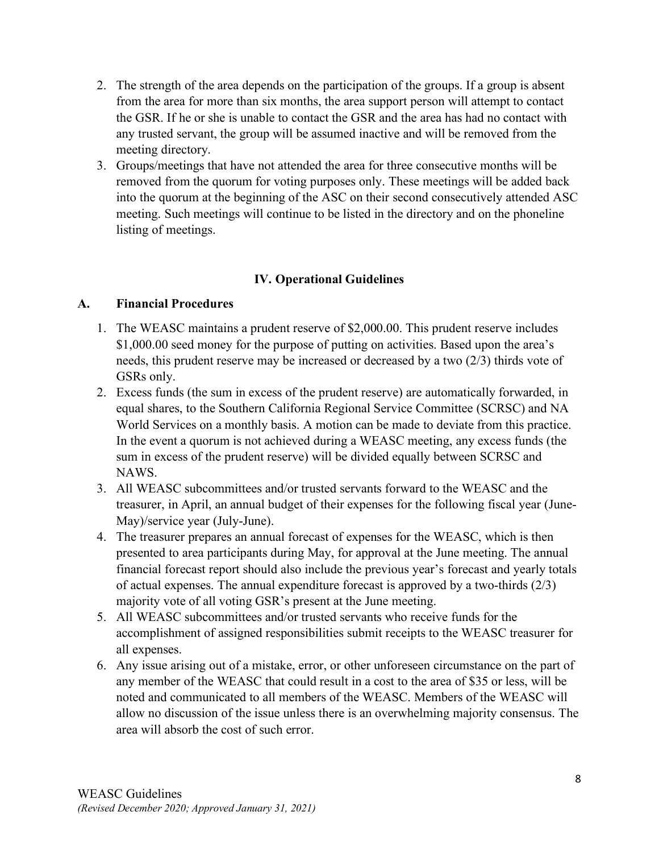- 2. The strength of the area depends on the participation of the groups. If a group is absent from the area for more than six months, the area support person will attempt to contact the GSR. If he or she is unable to contact the GSR and the area has had no contact with any trusted servant, the group will be assumed inactive and will be removed from the meeting directory.
- 3. Groups/meetings that have not attended the area for three consecutive months will be removed from the quorum for voting purposes only. These meetings will be added back into the quorum at the beginning of the ASC on their second consecutively attended ASC meeting. Such meetings will continue to be listed in the directory and on the phoneline listing of meetings.

#### **IV. Operational Guidelines**

#### **A. Financial Procedures**

- 1. The WEASC maintains a prudent reserve of \$2,000.00. This prudent reserve includes \$1,000.00 seed money for the purpose of putting on activities. Based upon the area's needs, this prudent reserve may be increased or decreased by a two (2/3) thirds vote of GSRs only.
- 2. Excess funds (the sum in excess of the prudent reserve) are automatically forwarded, in equal shares, to the Southern California Regional Service Committee (SCRSC) and NA World Services on a monthly basis. A motion can be made to deviate from this practice. In the event a quorum is not achieved during a WEASC meeting, any excess funds (the sum in excess of the prudent reserve) will be divided equally between SCRSC and NAWS.
- 3. All WEASC subcommittees and/or trusted servants forward to the WEASC and the treasurer, in April, an annual budget of their expenses for the following fiscal year (June-May)/service year (July-June).
- 4. The treasurer prepares an annual forecast of expenses for the WEASC, which is then presented to area participants during May, for approval at the June meeting. The annual financial forecast report should also include the previous year's forecast and yearly totals of actual expenses. The annual expenditure forecast is approved by a two-thirds  $(2/3)$ majority vote of all voting GSR's present at the June meeting.
- 5. All WEASC subcommittees and/or trusted servants who receive funds for the accomplishment of assigned responsibilities submit receipts to the WEASC treasurer for all expenses.
- 6. Any issue arising out of a mistake, error, or other unforeseen circumstance on the part of any member of the WEASC that could result in a cost to the area of \$35 or less, will be noted and communicated to all members of the WEASC. Members of the WEASC will allow no discussion of the issue unless there is an overwhelming majority consensus. The area will absorb the cost of such error.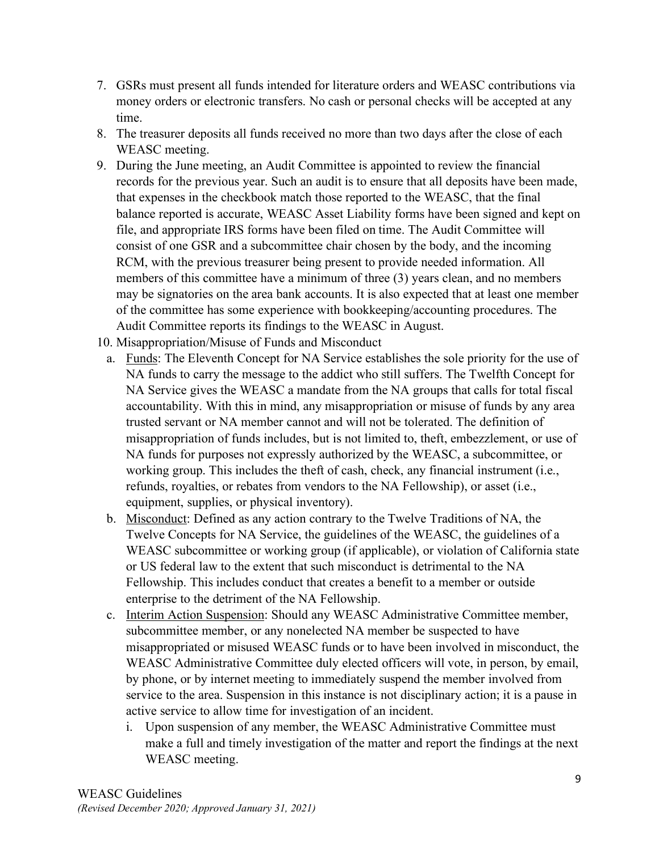- 7. GSRs must present all funds intended for literature orders and WEASC contributions via money orders or electronic transfers. No cash or personal checks will be accepted at any time.
- 8. The treasurer deposits all funds received no more than two days after the close of each WEASC meeting.
- 9. During the June meeting, an Audit Committee is appointed to review the financial records for the previous year. Such an audit is to ensure that all deposits have been made, that expenses in the checkbook match those reported to the WEASC, that the final balance reported is accurate, WEASC Asset Liability forms have been signed and kept on file, and appropriate IRS forms have been filed on time. The Audit Committee will consist of one GSR and a subcommittee chair chosen by the body, and the incoming RCM, with the previous treasurer being present to provide needed information. All members of this committee have a minimum of three (3) years clean, and no members may be signatories on the area bank accounts. It is also expected that at least one member of the committee has some experience with bookkeeping/accounting procedures. The Audit Committee reports its findings to the WEASC in August.
- 10. Misappropriation/Misuse of Funds and Misconduct
	- a. Funds: The Eleventh Concept for NA Service establishes the sole priority for the use of NA funds to carry the message to the addict who still suffers. The Twelfth Concept for NA Service gives the WEASC a mandate from the NA groups that calls for total fiscal accountability. With this in mind, any misappropriation or misuse of funds by any area trusted servant or NA member cannot and will not be tolerated. The definition of misappropriation of funds includes, but is not limited to, theft, embezzlement, or use of NA funds for purposes not expressly authorized by the WEASC, a subcommittee, or working group. This includes the theft of cash, check, any financial instrument (i.e., refunds, royalties, or rebates from vendors to the NA Fellowship), or asset (i.e., equipment, supplies, or physical inventory).
	- b. Misconduct: Defined as any action contrary to the Twelve Traditions of NA, the Twelve Concepts for NA Service, the guidelines of the WEASC, the guidelines of a WEASC subcommittee or working group (if applicable), or violation of California state or US federal law to the extent that such misconduct is detrimental to the NA Fellowship. This includes conduct that creates a benefit to a member or outside enterprise to the detriment of the NA Fellowship.
	- c. Interim Action Suspension: Should any WEASC Administrative Committee member, subcommittee member, or any nonelected NA member be suspected to have misappropriated or misused WEASC funds or to have been involved in misconduct, the WEASC Administrative Committee duly elected officers will vote, in person, by email, by phone, or by internet meeting to immediately suspend the member involved from service to the area. Suspension in this instance is not disciplinary action; it is a pause in active service to allow time for investigation of an incident.
		- i. Upon suspension of any member, the WEASC Administrative Committee must make a full and timely investigation of the matter and report the findings at the next WEASC meeting.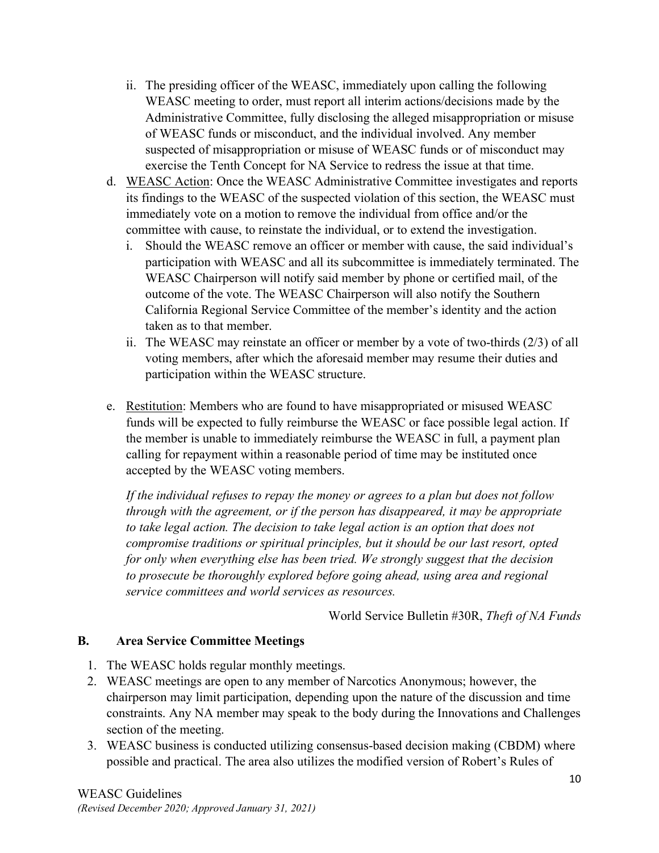- ii. The presiding officer of the WEASC, immediately upon calling the following WEASC meeting to order, must report all interim actions/decisions made by the Administrative Committee, fully disclosing the alleged misappropriation or misuse of WEASC funds or misconduct, and the individual involved. Any member suspected of misappropriation or misuse of WEASC funds or of misconduct may exercise the Tenth Concept for NA Service to redress the issue at that time.
- d. WEASC Action: Once the WEASC Administrative Committee investigates and reports its findings to the WEASC of the suspected violation of this section, the WEASC must immediately vote on a motion to remove the individual from office and/or the committee with cause, to reinstate the individual, or to extend the investigation.
	- i. Should the WEASC remove an officer or member with cause, the said individual's participation with WEASC and all its subcommittee is immediately terminated. The WEASC Chairperson will notify said member by phone or certified mail, of the outcome of the vote. The WEASC Chairperson will also notify the Southern California Regional Service Committee of the member's identity and the action taken as to that member.
	- ii. The WEASC may reinstate an officer or member by a vote of two-thirds (2/3) of all voting members, after which the aforesaid member may resume their duties and participation within the WEASC structure.
- e. Restitution: Members who are found to have misappropriated or misused WEASC funds will be expected to fully reimburse the WEASC or face possible legal action. If the member is unable to immediately reimburse the WEASC in full, a payment plan calling for repayment within a reasonable period of time may be instituted once accepted by the WEASC voting members.

*If the individual refuses to repay the money or agrees to a plan but does not follow through with the agreement, or if the person has disappeared, it may be appropriate to take legal action. The decision to take legal action is an option that does not compromise traditions or spiritual principles, but it should be our last resort, opted for only when everything else has been tried. We strongly suggest that the decision to prosecute be thoroughly explored before going ahead, using area and regional service committees and world services as resources.*

World Service Bulletin #30R, *Theft of NA Funds*

#### **B. Area Service Committee Meetings**

- 1. The WEASC holds regular monthly meetings.
- 2. WEASC meetings are open to any member of Narcotics Anonymous; however, the chairperson may limit participation, depending upon the nature of the discussion and time constraints. Any NA member may speak to the body during the Innovations and Challenges section of the meeting.
- 3. WEASC business is conducted utilizing consensus-based decision making (CBDM) where possible and practical. The area also utilizes the modified version of Robert's Rules of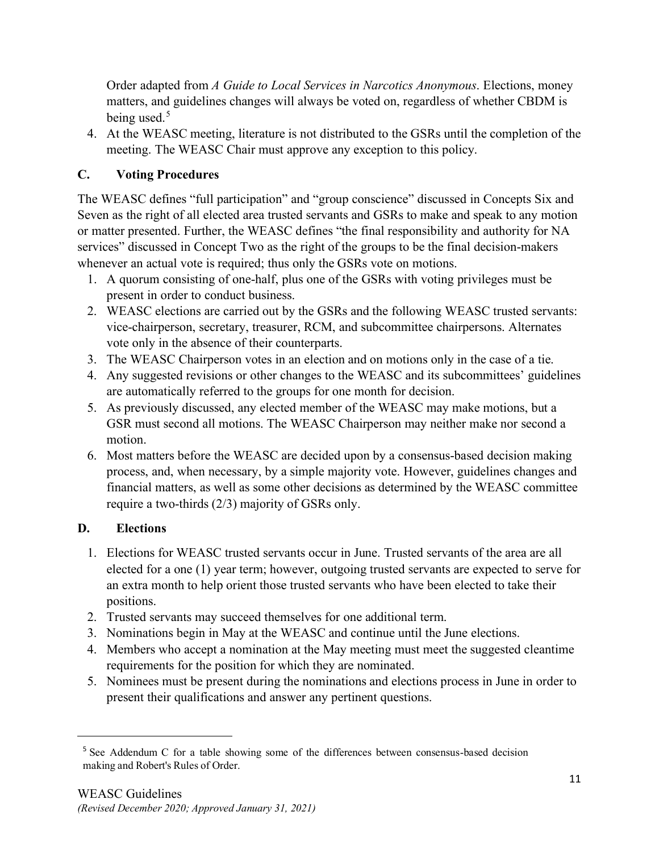Order adapted from *A Guide to Local Services in Narcotics Anonymous*. Elections, money matters, and guidelines changes will always be voted on, regardless of whether CBDM is being used. $5$ 

4. At the WEASC meeting, literature is not distributed to the GSRs until the completion of the meeting. The WEASC Chair must approve any exception to this policy.

## **C. Voting Procedures**

The WEASC defines "full participation" and "group conscience" discussed in Concepts Six and Seven as the right of all elected area trusted servants and GSRs to make and speak to any motion or matter presented. Further, the WEASC defines "the final responsibility and authority for NA services" discussed in Concept Two as the right of the groups to be the final decision-makers whenever an actual vote is required; thus only the GSRs vote on motions.

- 1. A quorum consisting of one-half, plus one of the GSRs with voting privileges must be present in order to conduct business.
- 2. WEASC elections are carried out by the GSRs and the following WEASC trusted servants: vice-chairperson, secretary, treasurer, RCM, and subcommittee chairpersons. Alternates vote only in the absence of their counterparts.
- 3. The WEASC Chairperson votes in an election and on motions only in the case of a tie.
- 4. Any suggested revisions or other changes to the WEASC and its subcommittees' guidelines are automatically referred to the groups for one month for decision.
- 5. As previously discussed, any elected member of the WEASC may make motions, but a GSR must second all motions. The WEASC Chairperson may neither make nor second a motion.
- 6. Most matters before the WEASC are decided upon by a consensus-based decision making process, and, when necessary, by a simple majority vote. However, guidelines changes and financial matters, as well as some other decisions as determined by the WEASC committee require a two-thirds (2/3) majority of GSRs only.

## **D. Elections**

- 1. Elections for WEASC trusted servants occur in June. Trusted servants of the area are all elected for a one (1) year term; however, outgoing trusted servants are expected to serve for an extra month to help orient those trusted servants who have been elected to take their positions.
- 2. Trusted servants may succeed themselves for one additional term.
- 3. Nominations begin in May at the WEASC and continue until the June elections.
- 4. Members who accept a nomination at the May meeting must meet the suggested cleantime requirements for the position for which they are nominated.
- 5. Nominees must be present during the nominations and elections process in June in order to present their qualifications and answer any pertinent questions.

<span id="page-10-0"></span><sup>&</sup>lt;sup>5</sup> See Addendum C for a table showing some of the differences between consensus-based decision making and Robert's Rules of Order.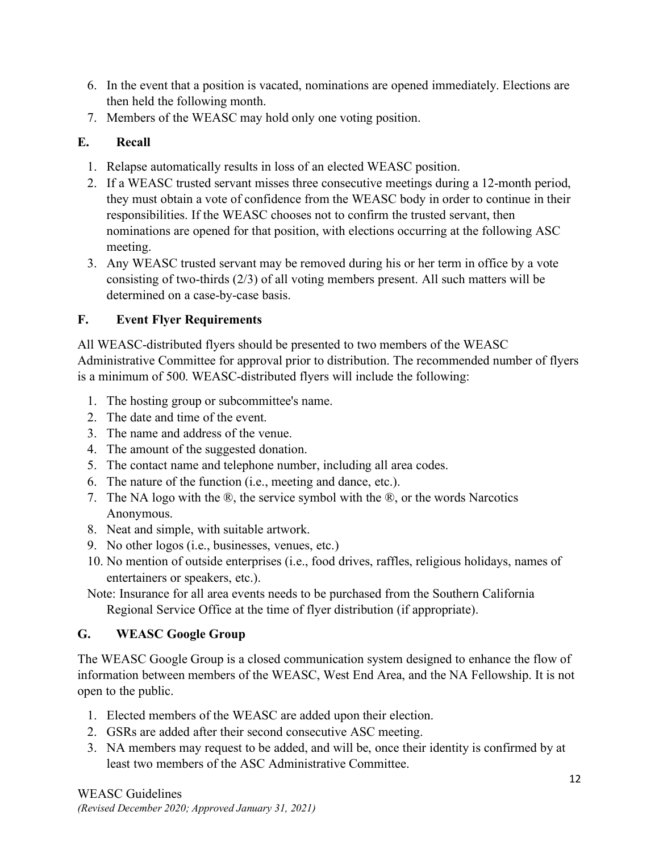- 6. In the event that a position is vacated, nominations are opened immediately. Elections are then held the following month.
- 7. Members of the WEASC may hold only one voting position.

## **E. Recall**

- 1. Relapse automatically results in loss of an elected WEASC position.
- 2. If a WEASC trusted servant misses three consecutive meetings during a 12-month period, they must obtain a vote of confidence from the WEASC body in order to continue in their responsibilities. If the WEASC chooses not to confirm the trusted servant, then nominations are opened for that position, with elections occurring at the following ASC meeting.
- 3. Any WEASC trusted servant may be removed during his or her term in office by a vote consisting of two-thirds (2/3) of all voting members present. All such matters will be determined on a case-by-case basis.

## **F. Event Flyer Requirements**

All WEASC-distributed flyers should be presented to two members of the WEASC Administrative Committee for approval prior to distribution. The recommended number of flyers is a minimum of 500. WEASC-distributed flyers will include the following:

- 1. The hosting group or subcommittee's name.
- 2. The date and time of the event.
- 3. The name and address of the venue.
- 4. The amount of the suggested donation.
- 5. The contact name and telephone number, including all area codes.
- 6. The nature of the function (i.e., meeting and dance, etc.).
- 7. The NA logo with the ®, the service symbol with the ®, or the words Narcotics Anonymous.
- 8. Neat and simple, with suitable artwork.
- 9. No other logos (i.e., businesses, venues, etc.)
- 10. No mention of outside enterprises (i.e., food drives, raffles, religious holidays, names of entertainers or speakers, etc.).
- Note: Insurance for all area events needs to be purchased from the Southern California Regional Service Office at the time of flyer distribution (if appropriate).

## **G. WEASC Google Group**

The WEASC Google Group is a closed communication system designed to enhance the flow of information between members of the WEASC, West End Area, and the NA Fellowship. It is not open to the public.

- 1. Elected members of the WEASC are added upon their election.
- 2. GSRs are added after their second consecutive ASC meeting.
- 3. NA members may request to be added, and will be, once their identity is confirmed by at least two members of the ASC Administrative Committee.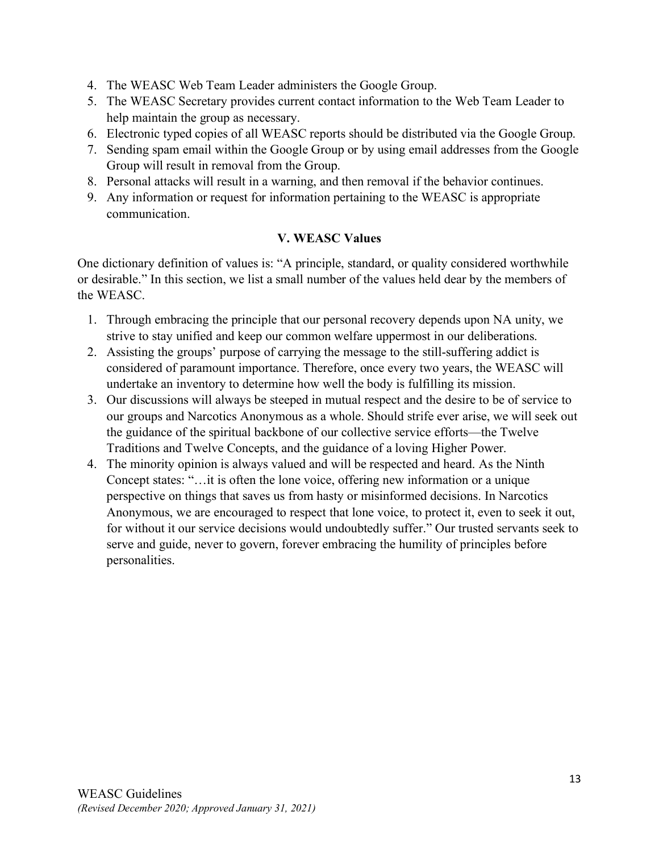- 4. The WEASC Web Team Leader administers the Google Group.
- 5. The WEASC Secretary provides current contact information to the Web Team Leader to help maintain the group as necessary.
- 6. Electronic typed copies of all WEASC reports should be distributed via the Google Group.
- 7. Sending spam email within the Google Group or by using email addresses from the Google Group will result in removal from the Group.
- 8. Personal attacks will result in a warning, and then removal if the behavior continues.
- 9. Any information or request for information pertaining to the WEASC is appropriate communication.

## **V. WEASC Values**

One dictionary definition of values is: "A principle, standard, or quality considered worthwhile or desirable." In this section, we list a small number of the values held dear by the members of the WEASC.

- 1. Through embracing the principle that our personal recovery depends upon NA unity, we strive to stay unified and keep our common welfare uppermost in our deliberations.
- 2. Assisting the groups' purpose of carrying the message to the still-suffering addict is considered of paramount importance. Therefore, once every two years, the WEASC will undertake an inventory to determine how well the body is fulfilling its mission.
- 3. Our discussions will always be steeped in mutual respect and the desire to be of service to our groups and Narcotics Anonymous as a whole. Should strife ever arise, we will seek out the guidance of the spiritual backbone of our collective service efforts—the Twelve Traditions and Twelve Concepts, and the guidance of a loving Higher Power.
- 4. The minority opinion is always valued and will be respected and heard. As the Ninth Concept states: "…it is often the lone voice, offering new information or a unique perspective on things that saves us from hasty or misinformed decisions. In Narcotics Anonymous, we are encouraged to respect that lone voice, to protect it, even to seek it out, for without it our service decisions would undoubtedly suffer." Our trusted servants seek to serve and guide, never to govern, forever embracing the humility of principles before personalities.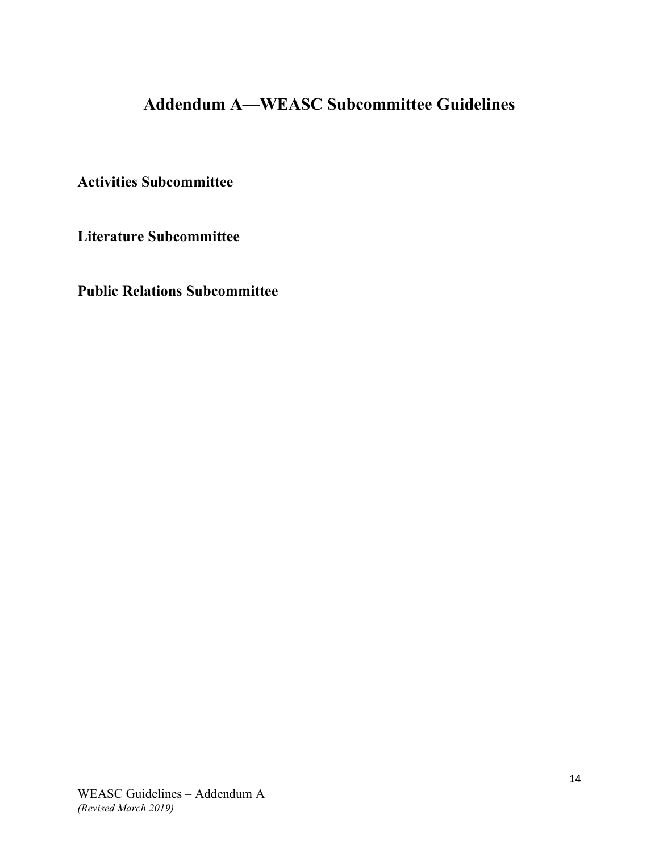## **Addendum A—WEASC Subcommittee Guidelines**

**Activities Subcommittee**

**Literature Subcommittee**

**Public Relations Subcommittee**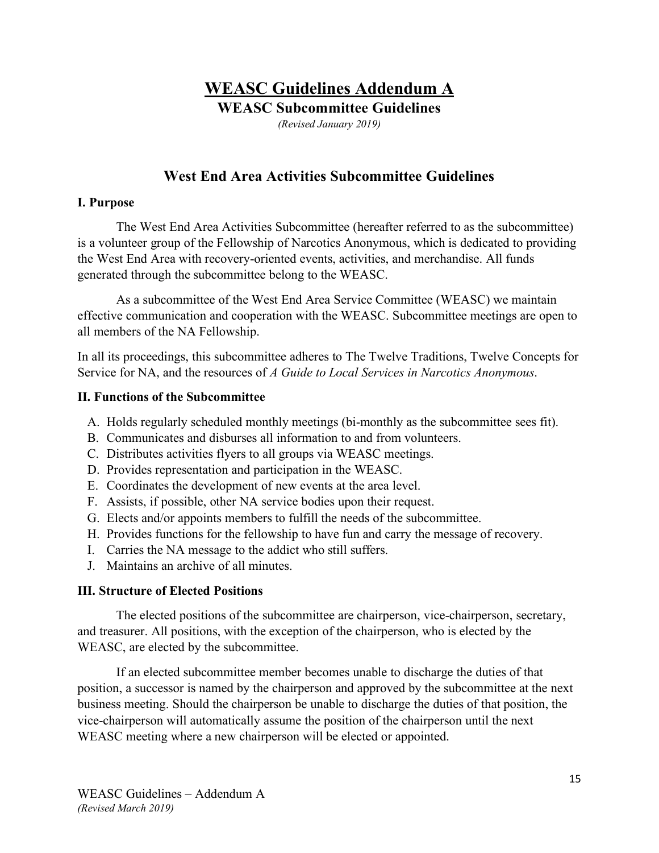# **WEASC Guidelines Addendum A**

**WEASC Subcommittee Guidelines**

*(Revised January 2019)*

## **West End Area Activities Subcommittee Guidelines**

#### **I. Purpose**

The West End Area Activities Subcommittee (hereafter referred to as the subcommittee) is a volunteer group of the Fellowship of Narcotics Anonymous, which is dedicated to providing the West End Area with recovery-oriented events, activities, and merchandise. All funds generated through the subcommittee belong to the WEASC.

As a subcommittee of the West End Area Service Committee (WEASC) we maintain effective communication and cooperation with the WEASC. Subcommittee meetings are open to all members of the NA Fellowship.

In all its proceedings, this subcommittee adheres to The Twelve Traditions, Twelve Concepts for Service for NA, and the resources of *A Guide to Local Services in Narcotics Anonymous*.

#### **II. Functions of the Subcommittee**

- A. Holds regularly scheduled monthly meetings (bi-monthly as the subcommittee sees fit).
- B. Communicates and disburses all information to and from volunteers.
- C. Distributes activities flyers to all groups via WEASC meetings.
- D. Provides representation and participation in the WEASC.
- E. Coordinates the development of new events at the area level.
- F. Assists, if possible, other NA service bodies upon their request.
- G. Elects and/or appoints members to fulfill the needs of the subcommittee.
- H. Provides functions for the fellowship to have fun and carry the message of recovery.
- I. Carries the NA message to the addict who still suffers.
- J. Maintains an archive of all minutes.

#### **III. Structure of Elected Positions**

The elected positions of the subcommittee are chairperson, vice-chairperson, secretary, and treasurer. All positions, with the exception of the chairperson, who is elected by the WEASC, are elected by the subcommittee.

If an elected subcommittee member becomes unable to discharge the duties of that position, a successor is named by the chairperson and approved by the subcommittee at the next business meeting. Should the chairperson be unable to discharge the duties of that position, the vice-chairperson will automatically assume the position of the chairperson until the next WEASC meeting where a new chairperson will be elected or appointed.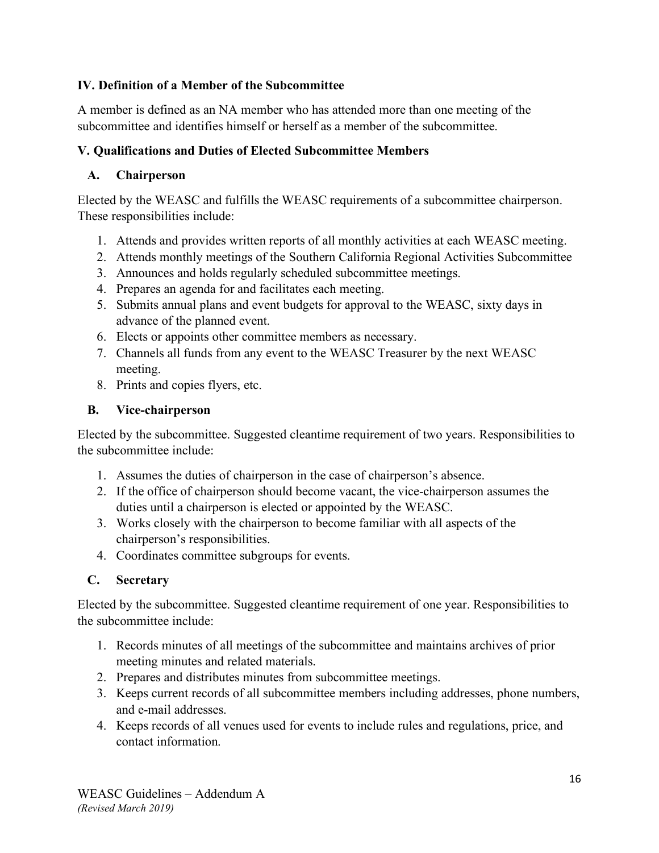#### **IV. Definition of a Member of the Subcommittee**

A member is defined as an NA member who has attended more than one meeting of the subcommittee and identifies himself or herself as a member of the subcommittee.

## **V. Qualifications and Duties of Elected Subcommittee Members**

## **A. Chairperson**

Elected by the WEASC and fulfills the WEASC requirements of a subcommittee chairperson. These responsibilities include:

- 1. Attends and provides written reports of all monthly activities at each WEASC meeting.
- 2. Attends monthly meetings of the Southern California Regional Activities Subcommittee
- 3. Announces and holds regularly scheduled subcommittee meetings.
- 4. Prepares an agenda for and facilitates each meeting.
- 5. Submits annual plans and event budgets for approval to the WEASC, sixty days in advance of the planned event.
- 6. Elects or appoints other committee members as necessary.
- 7. Channels all funds from any event to the WEASC Treasurer by the next WEASC meeting.
- 8. Prints and copies flyers, etc.

## **B. Vice-chairperson**

Elected by the subcommittee. Suggested cleantime requirement of two years. Responsibilities to the subcommittee include:

- 1. Assumes the duties of chairperson in the case of chairperson's absence.
- 2. If the office of chairperson should become vacant, the vice-chairperson assumes the duties until a chairperson is elected or appointed by the WEASC.
- 3. Works closely with the chairperson to become familiar with all aspects of the chairperson's responsibilities.
- 4. Coordinates committee subgroups for events.

## **C. Secretary**

Elected by the subcommittee. Suggested cleantime requirement of one year. Responsibilities to the subcommittee include:

- 1. Records minutes of all meetings of the subcommittee and maintains archives of prior meeting minutes and related materials.
- 2. Prepares and distributes minutes from subcommittee meetings.
- 3. Keeps current records of all subcommittee members including addresses, phone numbers, and e-mail addresses.
- 4. Keeps records of all venues used for events to include rules and regulations, price, and contact information.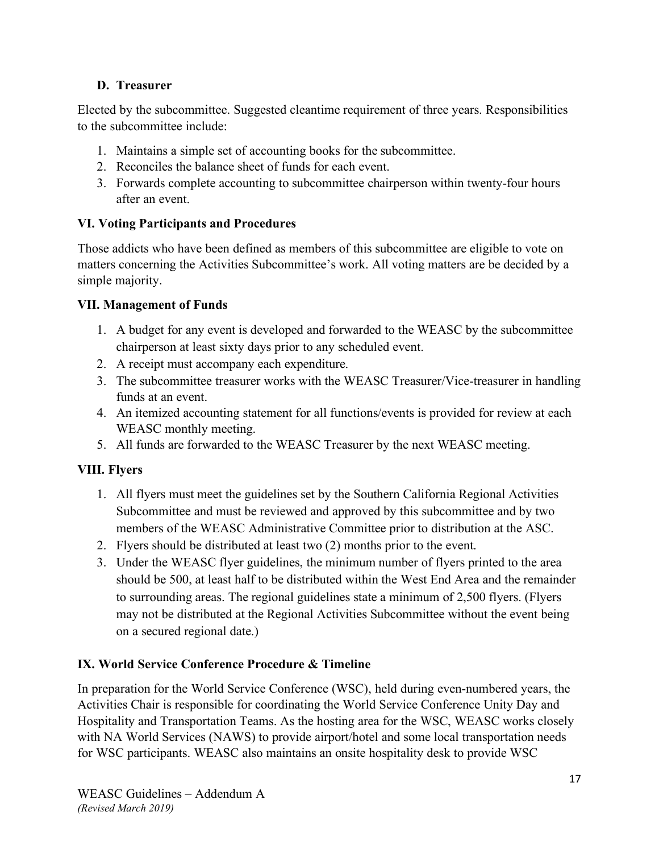## **D. Treasurer**

Elected by the subcommittee. Suggested cleantime requirement of three years. Responsibilities to the subcommittee include:

- 1. Maintains a simple set of accounting books for the subcommittee.
- 2. Reconciles the balance sheet of funds for each event.
- 3. Forwards complete accounting to subcommittee chairperson within twenty-four hours after an event.

#### **VI. Voting Participants and Procedures**

Those addicts who have been defined as members of this subcommittee are eligible to vote on matters concerning the Activities Subcommittee's work. All voting matters are be decided by a simple majority.

#### **VII. Management of Funds**

- 1. A budget for any event is developed and forwarded to the WEASC by the subcommittee chairperson at least sixty days prior to any scheduled event.
- 2. A receipt must accompany each expenditure.
- 3. The subcommittee treasurer works with the WEASC Treasurer/Vice-treasurer in handling funds at an event.
- 4. An itemized accounting statement for all functions/events is provided for review at each WEASC monthly meeting.
- 5. All funds are forwarded to the WEASC Treasurer by the next WEASC meeting.

## **VIII. Flyers**

- 1. All flyers must meet the guidelines set by the Southern California Regional Activities Subcommittee and must be reviewed and approved by this subcommittee and by two members of the WEASC Administrative Committee prior to distribution at the ASC.
- 2. Flyers should be distributed at least two (2) months prior to the event.
- 3. Under the WEASC flyer guidelines, the minimum number of flyers printed to the area should be 500, at least half to be distributed within the West End Area and the remainder to surrounding areas. The regional guidelines state a minimum of 2,500 flyers. (Flyers may not be distributed at the Regional Activities Subcommittee without the event being on a secured regional date.)

## **IX. World Service Conference Procedure & Timeline**

In preparation for the World Service Conference (WSC), held during even-numbered years, the Activities Chair is responsible for coordinating the World Service Conference Unity Day and Hospitality and Transportation Teams. As the hosting area for the WSC, WEASC works closely with NA World Services (NAWS) to provide airport/hotel and some local transportation needs for WSC participants. WEASC also maintains an onsite hospitality desk to provide WSC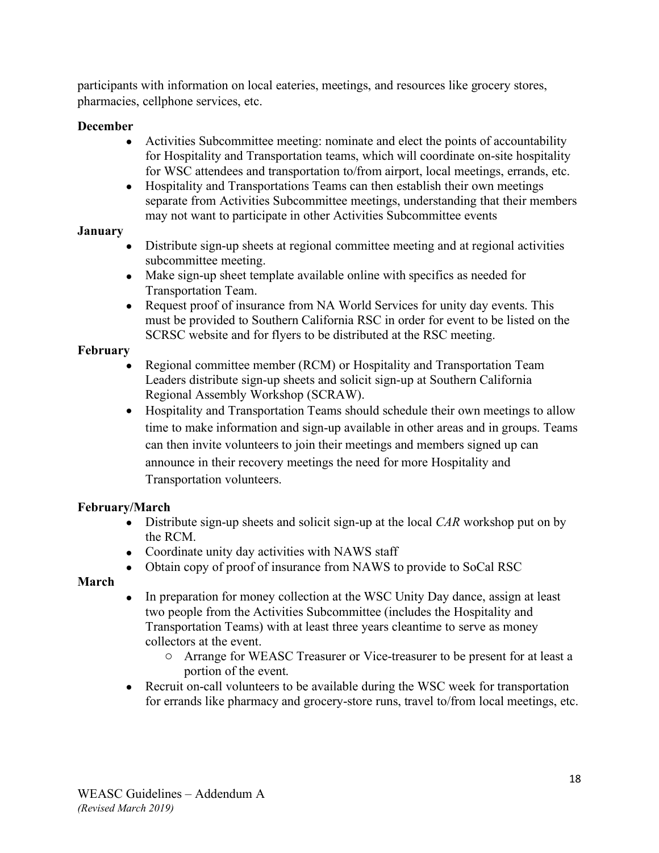participants with information on local eateries, meetings, and resources like grocery stores, pharmacies, cellphone services, etc.

#### **December**

- Activities Subcommittee meeting: nominate and elect the points of accountability for Hospitality and Transportation teams, which will coordinate on-site hospitality for WSC attendees and transportation to/from airport, local meetings, errands, etc.
- Hospitality and Transportations Teams can then establish their own meetings separate from Activities Subcommittee meetings, understanding that their members may not want to participate in other Activities Subcommittee events

#### **January**

- Distribute sign-up sheets at regional committee meeting and at regional activities subcommittee meeting.
- Make sign-up sheet template available online with specifics as needed for Transportation Team.
- Request proof of insurance from NA World Services for unity day events. This must be provided to Southern California RSC in order for event to be listed on the SCRSC website and for flyers to be distributed at the RSC meeting.

## **February**

- Regional committee member (RCM) or Hospitality and Transportation Team Leaders distribute sign-up sheets and solicit sign-up at Southern California Regional Assembly Workshop (SCRAW).
- Hospitality and Transportation Teams should schedule their own meetings to allow time to make information and sign-up available in other areas and in groups. Teams can then invite volunteers to join their meetings and members signed up can announce in their recovery meetings the need for more Hospitality and Transportation volunteers.

## **February/March**

- Distribute sign-up sheets and solicit sign-up at the local *CAR* workshop put on by the RCM.
- Coordinate unity day activities with NAWS staff
- Obtain copy of proof of insurance from NAWS to provide to SoCal RSC

## **March**

- In preparation for money collection at the WSC Unity Day dance, assign at least two people from the Activities Subcommittee (includes the Hospitality and Transportation Teams) with at least three years cleantime to serve as money collectors at the event.
	- o Arrange for WEASC Treasurer or Vice-treasurer to be present for at least a portion of the event.
- Recruit on-call volunteers to be available during the WSC week for transportation for errands like pharmacy and grocery-store runs, travel to/from local meetings, etc.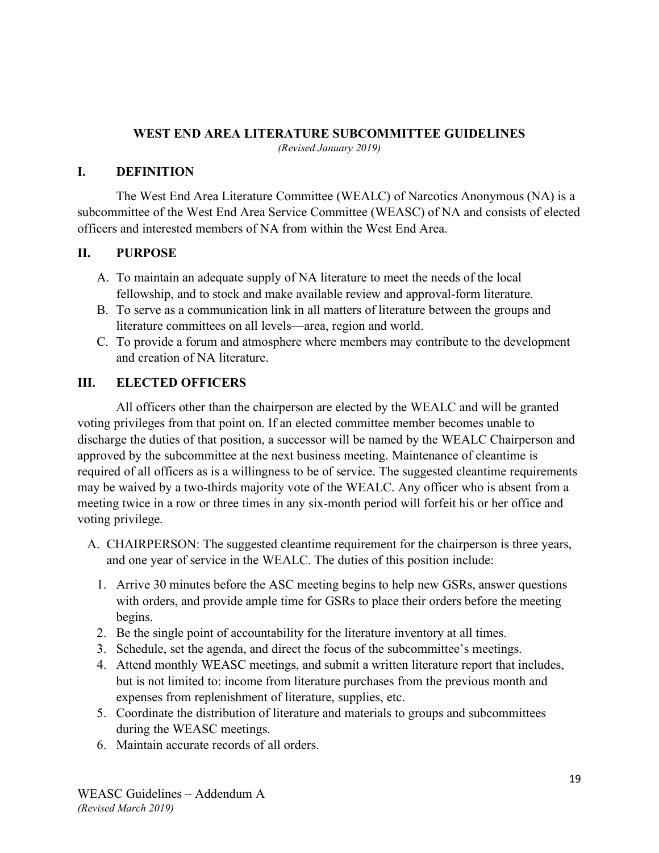#### **WEST END AREA LITERATURE SUBCOMMITTEE GUIDELINES**

*(Revised January 2019)*

#### **I. DEFINITION**

The West End Area Literature Committee (WEALC) of Narcotics Anonymous (NA) is a subcommittee of the West End Area Service Committee (WEASC) of NA and consists of elected officers and interested members of NA from within the West End Area.

#### **II. PURPOSE**

- A. To maintain an adequate supply of NA literature to meet the needs of the local fellowship, and to stock and make available review and approval-form literature.
- B. To serve as a communication link in all matters of literature between the groups and literature committees on all levels—area, region and world.
- C. To provide a forum and atmosphere where members may contribute to the development and creation of NA literature.

## **III. ELECTED OFFICERS**

All officers other than the chairperson are elected by the WEALC and will be granted voting privileges from that point on. If an elected committee member becomes unable to discharge the duties of that position, a successor will be named by the WEALC Chairperson and approved by the subcommittee at the next business meeting. Maintenance of cleantime is required of all officers as is a willingness to be of service. The suggested cleantime requirements may be waived by a two-thirds majority vote of the WEALC. Any officer who is absent from a meeting twice in a row or three times in any six-month period will forfeit his or her office and voting privilege.

- A. CHAIRPERSON: The suggested cleantime requirement for the chairperson is three years, and one year of service in the WEALC. The duties of this position include:
	- 1. Arrive 30 minutes before the ASC meeting begins to help new GSRs, answer questions with orders, and provide ample time for GSRs to place their orders before the meeting begins.
	- 2. Be the single point of accountability for the literature inventory at all times.
	- 3. Schedule, set the agenda, and direct the focus of the subcommittee's meetings.
	- 4. Attend monthly WEASC meetings, and submit a written literature report that includes, but is not limited to: income from literature purchases from the previous month and expenses from replenishment of literature, supplies, etc.
	- 5. Coordinate the distribution of literature and materials to groups and subcommittees during the WEASC meetings.
	- 6. Maintain accurate records of all orders.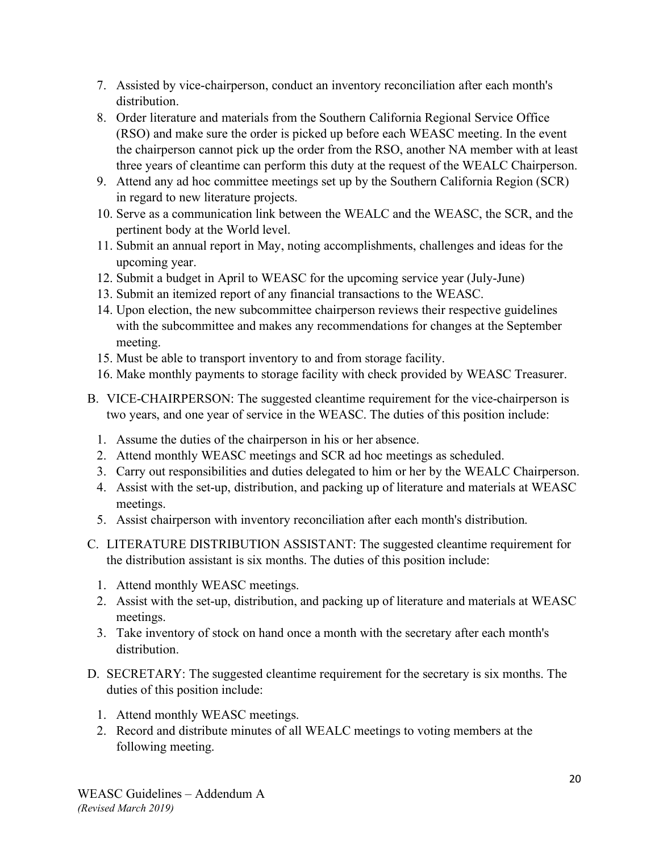- 7. Assisted by vice-chairperson, conduct an inventory reconciliation after each month's distribution.
- 8. Order literature and materials from the Southern California Regional Service Office (RSO) and make sure the order is picked up before each WEASC meeting. In the event the chairperson cannot pick up the order from the RSO, another NA member with at least three years of cleantime can perform this duty at the request of the WEALC Chairperson.
- 9. Attend any ad hoc committee meetings set up by the Southern California Region (SCR) in regard to new literature projects.
- 10. Serve as a communication link between the WEALC and the WEASC, the SCR, and the pertinent body at the World level.
- 11. Submit an annual report in May, noting accomplishments, challenges and ideas for the upcoming year.
- 12. Submit a budget in April to WEASC for the upcoming service year (July-June)
- 13. Submit an itemized report of any financial transactions to the WEASC.
- 14. Upon election, the new subcommittee chairperson reviews their respective guidelines with the subcommittee and makes any recommendations for changes at the September meeting.
- 15. Must be able to transport inventory to and from storage facility.
- 16. Make monthly payments to storage facility with check provided by WEASC Treasurer.
- B. VICE-CHAIRPERSON: The suggested cleantime requirement for the vice-chairperson is two years, and one year of service in the WEASC. The duties of this position include:
	- 1. Assume the duties of the chairperson in his or her absence.
	- 2. Attend monthly WEASC meetings and SCR ad hoc meetings as scheduled.
	- 3. Carry out responsibilities and duties delegated to him or her by the WEALC Chairperson.
	- 4. Assist with the set-up, distribution, and packing up of literature and materials at WEASC meetings.
	- 5. Assist chairperson with inventory reconciliation after each month's distribution.
- C. LITERATURE DISTRIBUTION ASSISTANT: The suggested cleantime requirement for the distribution assistant is six months. The duties of this position include:
	- 1. Attend monthly WEASC meetings.
	- 2. Assist with the set-up, distribution, and packing up of literature and materials at WEASC meetings.
	- 3. Take inventory of stock on hand once a month with the secretary after each month's distribution.
- D. SECRETARY: The suggested cleantime requirement for the secretary is six months. The duties of this position include:
	- 1. Attend monthly WEASC meetings.
	- 2. Record and distribute minutes of all WEALC meetings to voting members at the following meeting.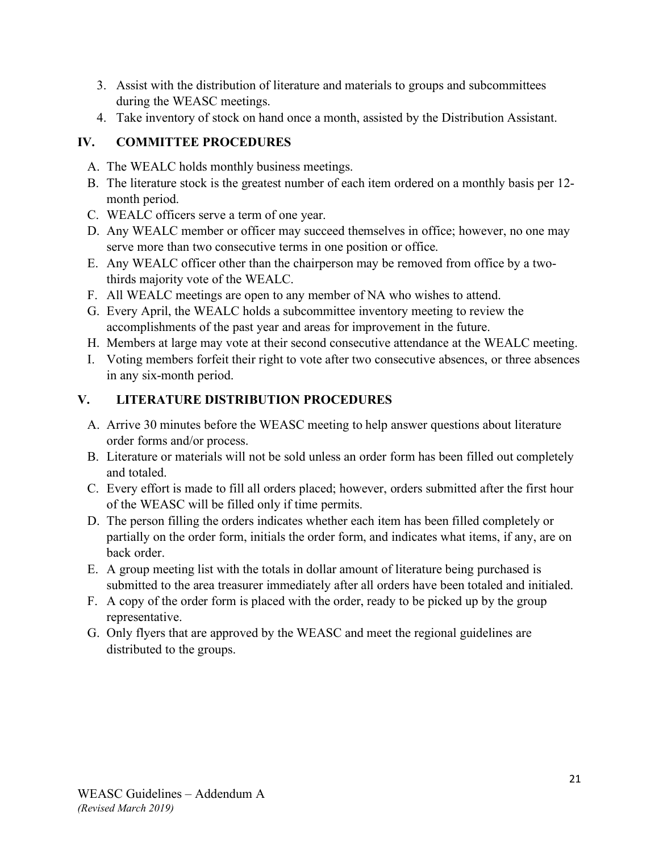- 3. Assist with the distribution of literature and materials to groups and subcommittees during the WEASC meetings.
- 4. Take inventory of stock on hand once a month, assisted by the Distribution Assistant.

## **IV. COMMITTEE PROCEDURES**

- A. The WEALC holds monthly business meetings.
- B. The literature stock is the greatest number of each item ordered on a monthly basis per 12 month period.
- C. WEALC officers serve a term of one year.
- D. Any WEALC member or officer may succeed themselves in office; however, no one may serve more than two consecutive terms in one position or office.
- E. Any WEALC officer other than the chairperson may be removed from office by a twothirds majority vote of the WEALC.
- F. All WEALC meetings are open to any member of NA who wishes to attend.
- G. Every April, the WEALC holds a subcommittee inventory meeting to review the accomplishments of the past year and areas for improvement in the future.
- H. Members at large may vote at their second consecutive attendance at the WEALC meeting.
- I. Voting members forfeit their right to vote after two consecutive absences, or three absences in any six-month period.

## **V. LITERATURE DISTRIBUTION PROCEDURES**

- A. Arrive 30 minutes before the WEASC meeting to help answer questions about literature order forms and/or process.
- B. Literature or materials will not be sold unless an order form has been filled out completely and totaled.
- C. Every effort is made to fill all orders placed; however, orders submitted after the first hour of the WEASC will be filled only if time permits.
- D. The person filling the orders indicates whether each item has been filled completely or partially on the order form, initials the order form, and indicates what items, if any, are on back order.
- E. A group meeting list with the totals in dollar amount of literature being purchased is submitted to the area treasurer immediately after all orders have been totaled and initialed.
- F. A copy of the order form is placed with the order, ready to be picked up by the group representative.
- G. Only flyers that are approved by the WEASC and meet the regional guidelines are distributed to the groups.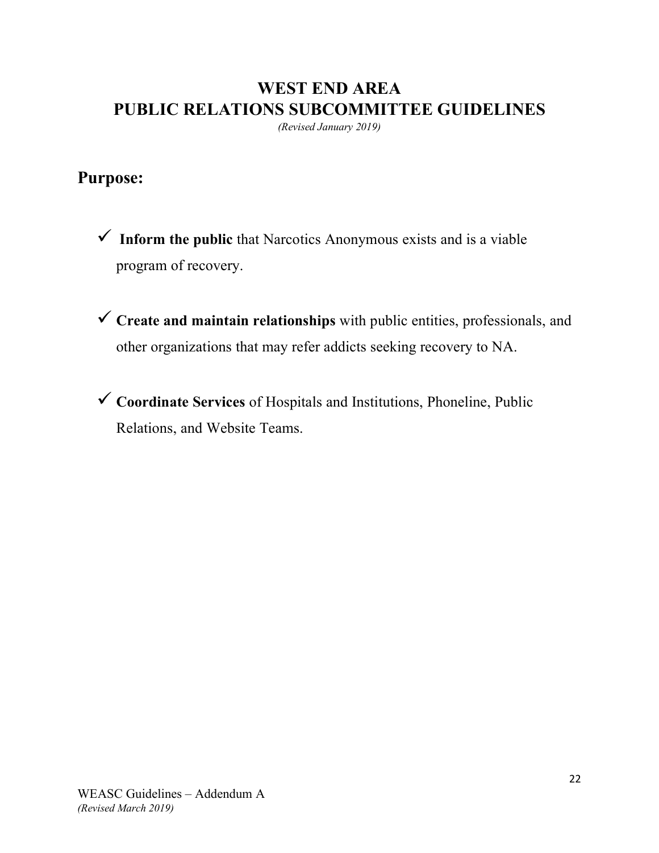## **WEST END AREA PUBLIC RELATIONS SUBCOMMITTEE GUIDELINES**

*(Revised January 2019)*

## **Purpose:**

- **Inform the public** that Narcotics Anonymous exists and is a viable program of recovery.
- **Create and maintain relationships** with public entities, professionals, and other organizations that may refer addicts seeking recovery to NA.
- **Coordinate Services** of Hospitals and Institutions, Phoneline, Public Relations, and Website Teams.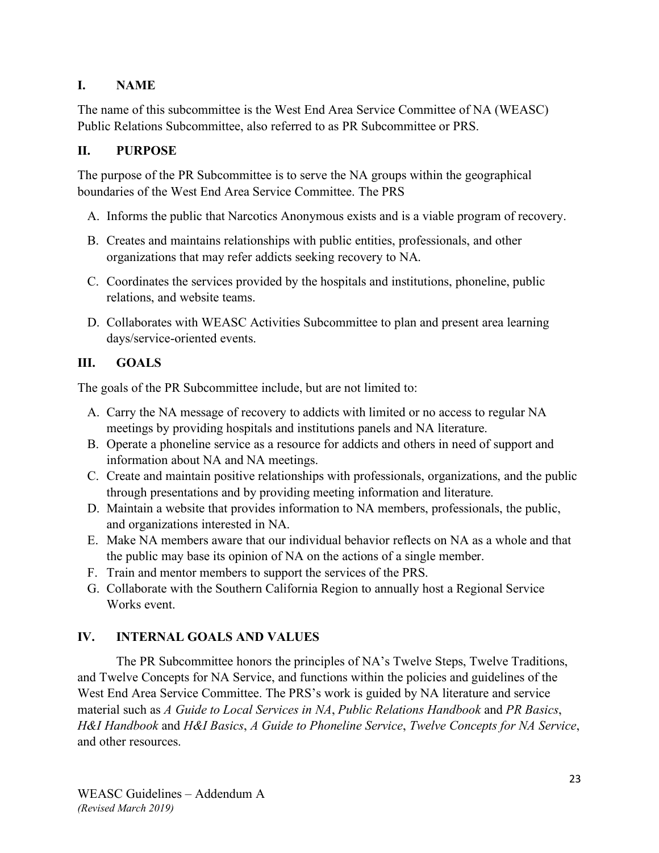### **I. NAME**

The name of this subcommittee is the West End Area Service Committee of NA (WEASC) Public Relations Subcommittee, also referred to as PR Subcommittee or PRS.

### **II. PURPOSE**

The purpose of the PR Subcommittee is to serve the NA groups within the geographical boundaries of the West End Area Service Committee. The PRS

- A. Informs the public that Narcotics Anonymous exists and is a viable program of recovery.
- B. Creates and maintains relationships with public entities, professionals, and other organizations that may refer addicts seeking recovery to NA.
- C. Coordinates the services provided by the hospitals and institutions, phoneline, public relations, and website teams.
- D. Collaborates with WEASC Activities Subcommittee to plan and present area learning days/service-oriented events.

## **III. GOALS**

The goals of the PR Subcommittee include, but are not limited to:

- A. Carry the NA message of recovery to addicts with limited or no access to regular NA meetings by providing hospitals and institutions panels and NA literature.
- B. Operate a phoneline service as a resource for addicts and others in need of support and information about NA and NA meetings.
- C. Create and maintain positive relationships with professionals, organizations, and the public through presentations and by providing meeting information and literature.
- D. Maintain a website that provides information to NA members, professionals, the public, and organizations interested in NA.
- E. Make NA members aware that our individual behavior reflects on NA as a whole and that the public may base its opinion of NA on the actions of a single member.
- F. Train and mentor members to support the services of the PRS.
- G. Collaborate with the Southern California Region to annually host a Regional Service Works event.

## **IV. INTERNAL GOALS AND VALUES**

The PR Subcommittee honors the principles of NA's Twelve Steps, Twelve Traditions, and Twelve Concepts for NA Service, and functions within the policies and guidelines of the West End Area Service Committee. The PRS's work is guided by NA literature and service material such as *A Guide to Local Services in NA*, *Public Relations Handbook* and *PR Basics*, *H&I Handbook* and *H&I Basics*, *A Guide to Phoneline Service*, *Twelve Concepts for NA Service*, and other resources.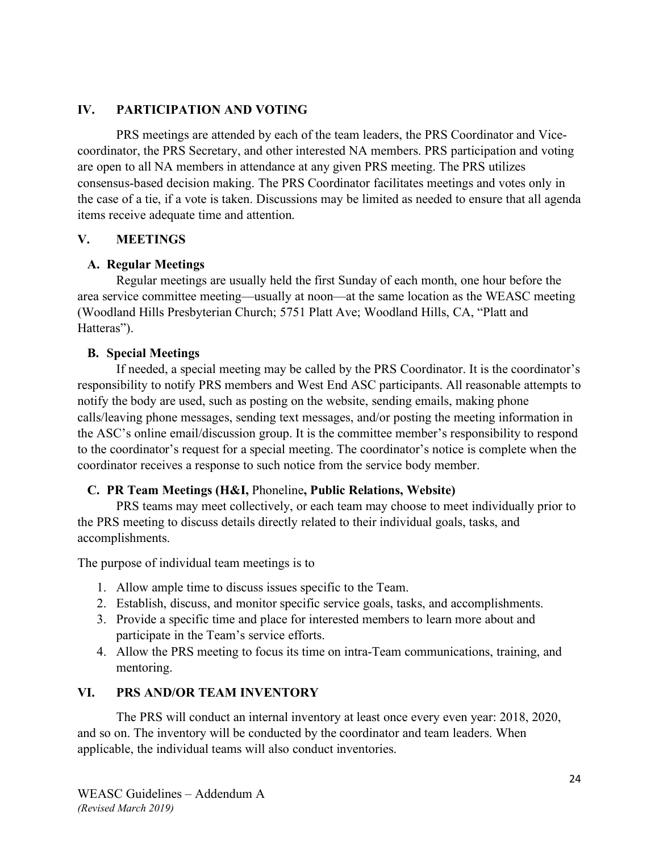#### **IV. PARTICIPATION AND VOTING**

PRS meetings are attended by each of the team leaders, the PRS Coordinator and Vicecoordinator, the PRS Secretary, and other interested NA members. PRS participation and voting are open to all NA members in attendance at any given PRS meeting. The PRS utilizes consensus-based decision making. The PRS Coordinator facilitates meetings and votes only in the case of a tie, if a vote is taken. Discussions may be limited as needed to ensure that all agenda items receive adequate time and attention.

#### **V. MEETINGS**

#### **A. Regular Meetings**

Regular meetings are usually held the first Sunday of each month, one hour before the area service committee meeting—usually at noon—at the same location as the WEASC meeting (Woodland Hills Presbyterian Church; 5751 Platt Ave; Woodland Hills, CA, "Platt and Hatteras").

#### **B. Special Meetings**

If needed, a special meeting may be called by the PRS Coordinator. It is the coordinator's responsibility to notify PRS members and West End ASC participants. All reasonable attempts to notify the body are used, such as posting on the website, sending emails, making phone calls/leaving phone messages, sending text messages, and/or posting the meeting information in the ASC's online email/discussion group. It is the committee member's responsibility to respond to the coordinator's request for a special meeting. The coordinator's notice is complete when the coordinator receives a response to such notice from the service body member.

#### **C. PR Team Meetings (H&I,** Phoneline**, Public Relations, Website)**

PRS teams may meet collectively, or each team may choose to meet individually prior to the PRS meeting to discuss details directly related to their individual goals, tasks, and accomplishments.

The purpose of individual team meetings is to

- 1. Allow ample time to discuss issues specific to the Team.
- 2. Establish, discuss, and monitor specific service goals, tasks, and accomplishments.
- 3. Provide a specific time and place for interested members to learn more about and participate in the Team's service efforts.
- 4. Allow the PRS meeting to focus its time on intra-Team communications, training, and mentoring.

## **VI. PRS AND/OR TEAM INVENTORY**

The PRS will conduct an internal inventory at least once every even year: 2018, 2020, and so on. The inventory will be conducted by the coordinator and team leaders. When applicable, the individual teams will also conduct inventories.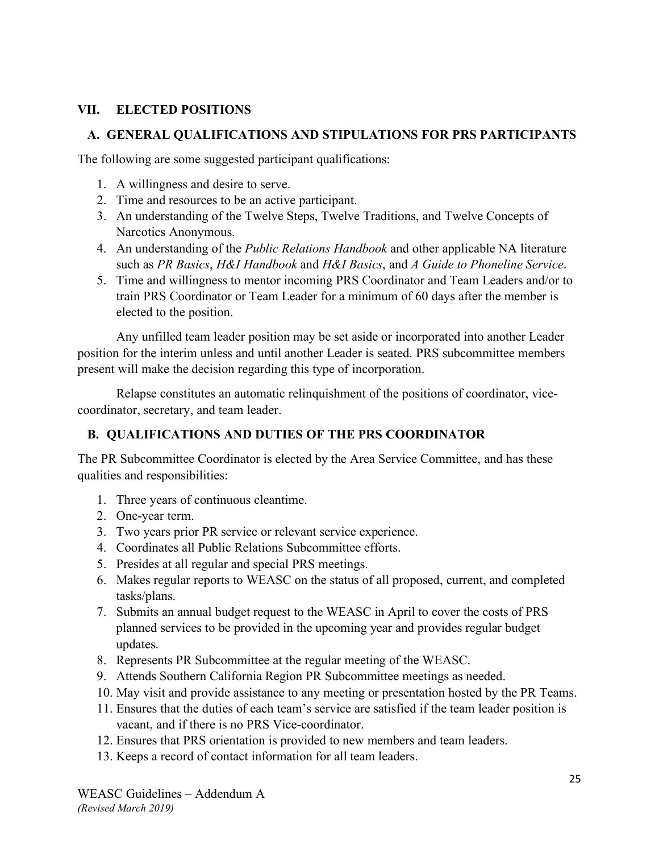#### **VII. ELECTED POSITIONS**

#### **A. GENERAL QUALIFICATIONS AND STIPULATIONS FOR PRS PARTICIPANTS**

The following are some suggested participant qualifications:

- 1. A willingness and desire to serve.
- 2. Time and resources to be an active participant.
- 3. An understanding of the Twelve Steps, Twelve Traditions, and Twelve Concepts of Narcotics Anonymous.
- 4. An understanding of the *Public Relations Handbook* and other applicable NA literature such as *PR Basics*, *H&I Handbook* and *H&I Basics*, and *A Guide to Phoneline Service*.
- 5. Time and willingness to mentor incoming PRS Coordinator and Team Leaders and/or to train PRS Coordinator or Team Leader for a minimum of 60 days after the member is elected to the position.

Any unfilled team leader position may be set aside or incorporated into another Leader position for the interim unless and until another Leader is seated. PRS subcommittee members present will make the decision regarding this type of incorporation.

Relapse constitutes an automatic relinquishment of the positions of coordinator, vicecoordinator, secretary, and team leader.

#### **B. QUALIFICATIONS AND DUTIES OF THE PRS COORDINATOR**

The PR Subcommittee Coordinator is elected by the Area Service Committee, and has these qualities and responsibilities:

- 1. Three years of continuous cleantime.
- 2. One-year term.
- 3. Two years prior PR service or relevant service experience.
- 4. Coordinates all Public Relations Subcommittee efforts.
- 5. Presides at all regular and special PRS meetings.
- 6. Makes regular reports to WEASC on the status of all proposed, current, and completed tasks/plans.
- 7. Submits an annual budget request to the WEASC in April to cover the costs of PRS planned services to be provided in the upcoming year and provides regular budget updates.
- 8. Represents PR Subcommittee at the regular meeting of the WEASC.
- 9. Attends Southern California Region PR Subcommittee meetings as needed.
- 10. May visit and provide assistance to any meeting or presentation hosted by the PR Teams.
- 11. Ensures that the duties of each team's service are satisfied if the team leader position is vacant, and if there is no PRS Vice-coordinator.
- 12. Ensures that PRS orientation is provided to new members and team leaders.
- 13. Keeps a record of contact information for all team leaders.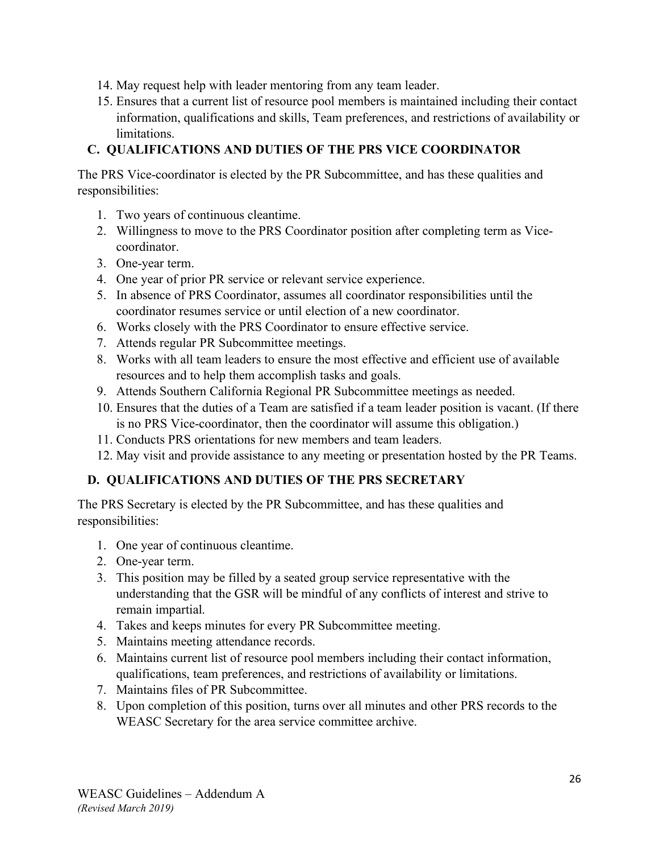- 14. May request help with leader mentoring from any team leader.
- 15. Ensures that a current list of resource pool members is maintained including their contact information, qualifications and skills, Team preferences, and restrictions of availability or limitations.

## **C. QUALIFICATIONS AND DUTIES OF THE PRS VICE COORDINATOR**

The PRS Vice-coordinator is elected by the PR Subcommittee, and has these qualities and responsibilities:

- 1. Two years of continuous cleantime.
- 2. Willingness to move to the PRS Coordinator position after completing term as Vicecoordinator.
- 3. One-year term.
- 4. One year of prior PR service or relevant service experience.
- 5. In absence of PRS Coordinator, assumes all coordinator responsibilities until the coordinator resumes service or until election of a new coordinator.
- 6. Works closely with the PRS Coordinator to ensure effective service.
- 7. Attends regular PR Subcommittee meetings.
- 8. Works with all team leaders to ensure the most effective and efficient use of available resources and to help them accomplish tasks and goals.
- 9. Attends Southern California Regional PR Subcommittee meetings as needed.
- 10. Ensures that the duties of a Team are satisfied if a team leader position is vacant. (If there is no PRS Vice-coordinator, then the coordinator will assume this obligation.)
- 11. Conducts PRS orientations for new members and team leaders.
- 12. May visit and provide assistance to any meeting or presentation hosted by the PR Teams.

## **D. QUALIFICATIONS AND DUTIES OF THE PRS SECRETARY**

The PRS Secretary is elected by the PR Subcommittee, and has these qualities and responsibilities:

- 1. One year of continuous cleantime.
- 2. One-year term.
- 3. This position may be filled by a seated group service representative with the understanding that the GSR will be mindful of any conflicts of interest and strive to remain impartial.
- 4. Takes and keeps minutes for every PR Subcommittee meeting.
- 5. Maintains meeting attendance records.
- 6. Maintains current list of resource pool members including their contact information, qualifications, team preferences, and restrictions of availability or limitations.
- 7. Maintains files of PR Subcommittee.
- 8. Upon completion of this position, turns over all minutes and other PRS records to the WEASC Secretary for the area service committee archive.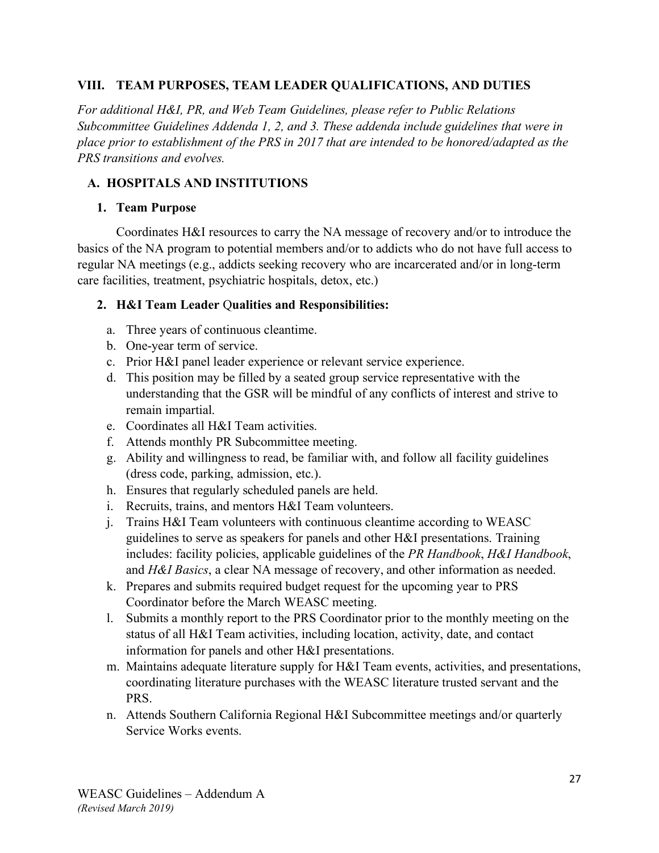#### **VIII. TEAM PURPOSES, TEAM LEADER QUALIFICATIONS, AND DUTIES**

*For additional H&I, PR, and Web Team Guidelines, please refer to Public Relations Subcommittee Guidelines Addenda 1, 2, and 3. These addenda include guidelines that were in place prior to establishment of the PRS in 2017 that are intended to be honored/adapted as the PRS transitions and evolves.*

### **A. HOSPITALS AND INSTITUTIONS**

#### **1. Team Purpose**

Coordinates H&I resources to carry the NA message of recovery and/or to introduce the basics of the NA program to potential members and/or to addicts who do not have full access to regular NA meetings (e.g., addicts seeking recovery who are incarcerated and/or in long-term care facilities, treatment, psychiatric hospitals, detox, etc.)

#### **2. H&I Team Leader** Q**ualities and Responsibilities:**

- a. Three years of continuous cleantime.
- b. One-year term of service.
- c. Prior H&I panel leader experience or relevant service experience.
- d. This position may be filled by a seated group service representative with the understanding that the GSR will be mindful of any conflicts of interest and strive to remain impartial.
- e. Coordinates all H&I Team activities.
- f. Attends monthly PR Subcommittee meeting.
- g. Ability and willingness to read, be familiar with, and follow all facility guidelines (dress code, parking, admission, etc.).
- h. Ensures that regularly scheduled panels are held.
- i. Recruits, trains, and mentors H&I Team volunteers.
- j. Trains H&I Team volunteers with continuous cleantime according to WEASC guidelines to serve as speakers for panels and other H&I presentations. Training includes: facility policies, applicable guidelines of the *PR Handbook*, *H&I Handbook*, and *H&I Basics*, a clear NA message of recovery, and other information as needed.
- k. Prepares and submits required budget request for the upcoming year to PRS Coordinator before the March WEASC meeting.
- l. Submits a monthly report to the PRS Coordinator prior to the monthly meeting on the status of all H&I Team activities, including location, activity, date, and contact information for panels and other H&I presentations.
- m. Maintains adequate literature supply for H&I Team events, activities, and presentations, coordinating literature purchases with the WEASC literature trusted servant and the PRS.
- n. Attends Southern California Regional H&I Subcommittee meetings and/or quarterly Service Works events.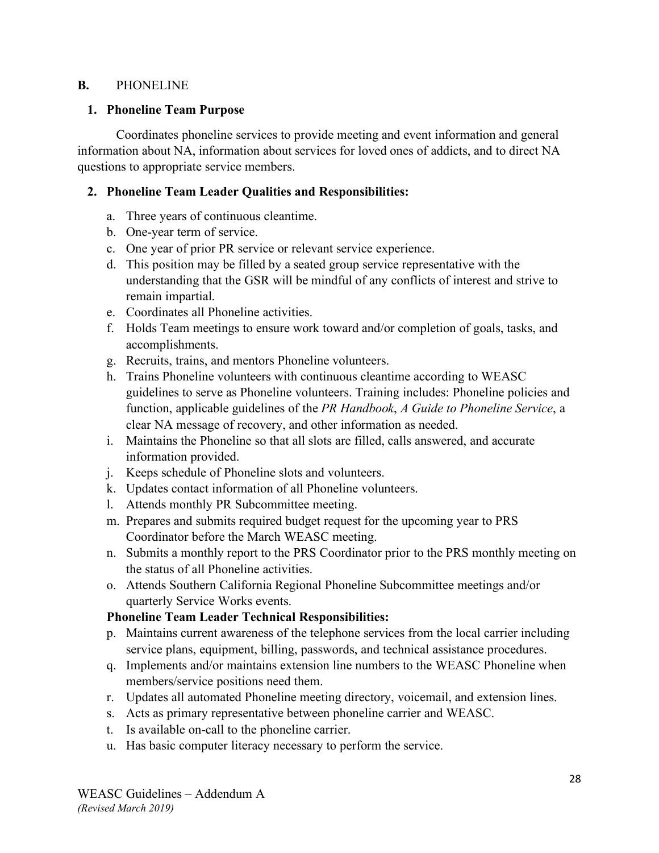#### **B.** PHONELINE

#### **1. Phoneline Team Purpose**

Coordinates phoneline services to provide meeting and event information and general information about NA, information about services for loved ones of addicts, and to direct NA questions to appropriate service members.

#### **2. Phoneline Team Leader Qualities and Responsibilities:**

- a. Three years of continuous cleantime.
- b. One-year term of service.
- c. One year of prior PR service or relevant service experience.
- d. This position may be filled by a seated group service representative with the understanding that the GSR will be mindful of any conflicts of interest and strive to remain impartial.
- e. Coordinates all Phoneline activities.
- f. Holds Team meetings to ensure work toward and/or completion of goals, tasks, and accomplishments.
- g. Recruits, trains, and mentors Phoneline volunteers.
- h. Trains Phoneline volunteers with continuous cleantime according to WEASC guidelines to serve as Phoneline volunteers. Training includes: Phoneline policies and function, applicable guidelines of the *PR Handbook*, *A Guide to Phoneline Service*, a clear NA message of recovery, and other information as needed.
- i. Maintains the Phoneline so that all slots are filled, calls answered, and accurate information provided.
- j. Keeps schedule of Phoneline slots and volunteers.
- k. Updates contact information of all Phoneline volunteers.
- l. Attends monthly PR Subcommittee meeting.
- m. Prepares and submits required budget request for the upcoming year to PRS Coordinator before the March WEASC meeting.
- n. Submits a monthly report to the PRS Coordinator prior to the PRS monthly meeting on the status of all Phoneline activities.
- o. Attends Southern California Regional Phoneline Subcommittee meetings and/or quarterly Service Works events.

#### **Phoneline Team Leader Technical Responsibilities:**

- p. Maintains current awareness of the telephone services from the local carrier including service plans, equipment, billing, passwords, and technical assistance procedures.
- q. Implements and/or maintains extension line numbers to the WEASC Phoneline when members/service positions need them.
- r. Updates all automated Phoneline meeting directory, voicemail, and extension lines.
- s. Acts as primary representative between phoneline carrier and WEASC.
- t. Is available on-call to the phoneline carrier.
- u. Has basic computer literacy necessary to perform the service.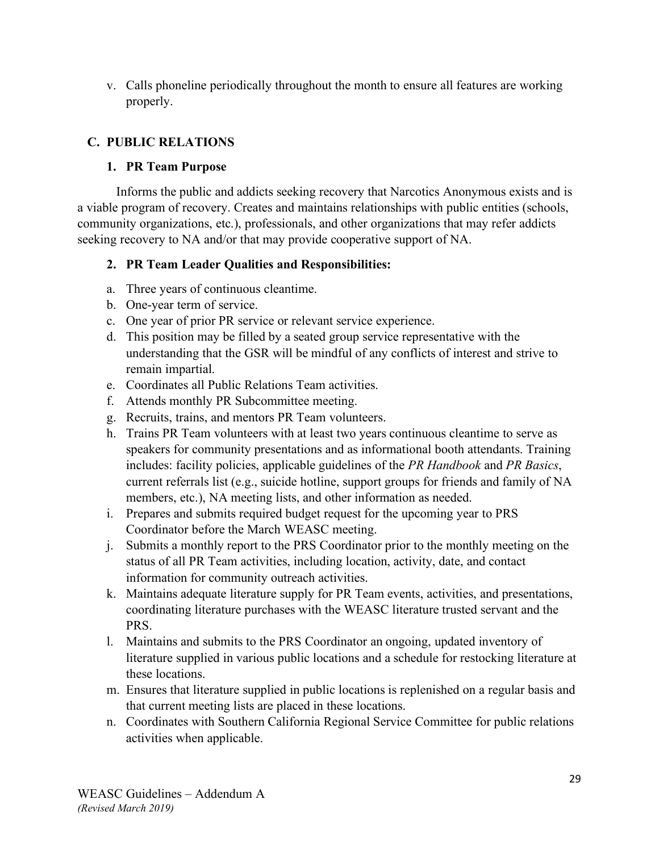v. Calls phoneline periodically throughout the month to ensure all features are working properly.

## **C. PUBLIC RELATIONS**

#### **1. PR Team Purpose**

Informs the public and addicts seeking recovery that Narcotics Anonymous exists and is a viable program of recovery. Creates and maintains relationships with public entities (schools, community organizations, etc.), professionals, and other organizations that may refer addicts seeking recovery to NA and/or that may provide cooperative support of NA.

## **2. PR Team Leader Qualities and Responsibilities:**

- a. Three years of continuous cleantime.
- b. One-year term of service.
- c. One year of prior PR service or relevant service experience.
- d. This position may be filled by a seated group service representative with the understanding that the GSR will be mindful of any conflicts of interest and strive to remain impartial.
- e. Coordinates all Public Relations Team activities.
- f. Attends monthly PR Subcommittee meeting.
- g. Recruits, trains, and mentors PR Team volunteers.
- h. Trains PR Team volunteers with at least two years continuous cleantime to serve as speakers for community presentations and as informational booth attendants. Training includes: facility policies, applicable guidelines of the *PR Handbook* and *PR Basics*, current referrals list (e.g., suicide hotline, support groups for friends and family of NA members, etc.), NA meeting lists, and other information as needed.
- i. Prepares and submits required budget request for the upcoming year to PRS Coordinator before the March WEASC meeting.
- j. Submits a monthly report to the PRS Coordinator prior to the monthly meeting on the status of all PR Team activities, including location, activity, date, and contact information for community outreach activities.
- k. Maintains adequate literature supply for PR Team events, activities, and presentations, coordinating literature purchases with the WEASC literature trusted servant and the PRS.
- l. Maintains and submits to the PRS Coordinator an ongoing, updated inventory of literature supplied in various public locations and a schedule for restocking literature at these locations.
- m. Ensures that literature supplied in public locations is replenished on a regular basis and that current meeting lists are placed in these locations.
- n. Coordinates with Southern California Regional Service Committee for public relations activities when applicable.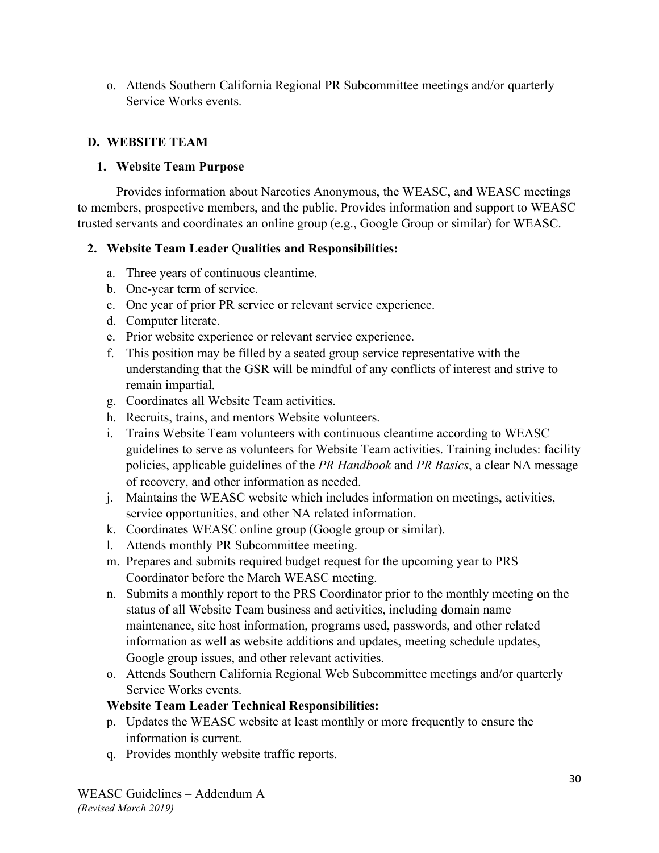o. Attends Southern California Regional PR Subcommittee meetings and/or quarterly Service Works events.

## **D. WEBSITE TEAM**

## **1. Website Team Purpose**

Provides information about Narcotics Anonymous, the WEASC, and WEASC meetings to members, prospective members, and the public. Provides information and support to WEASC trusted servants and coordinates an online group (e.g., Google Group or similar) for WEASC.

## **2. Website Team Leader** Q**ualities and Responsibilities:**

- a. Three years of continuous cleantime.
- b. One-year term of service.
- c. One year of prior PR service or relevant service experience.
- d. Computer literate.
- e. Prior website experience or relevant service experience.
- f. This position may be filled by a seated group service representative with the understanding that the GSR will be mindful of any conflicts of interest and strive to remain impartial.
- g. Coordinates all Website Team activities.
- h. Recruits, trains, and mentors Website volunteers.
- i. Trains Website Team volunteers with continuous cleantime according to WEASC guidelines to serve as volunteers for Website Team activities. Training includes: facility policies, applicable guidelines of the *PR Handbook* and *PR Basics*, a clear NA message of recovery, and other information as needed.
- j. Maintains the WEASC website which includes information on meetings, activities, service opportunities, and other NA related information.
- k. Coordinates WEASC online group (Google group or similar).
- l. Attends monthly PR Subcommittee meeting.
- m. Prepares and submits required budget request for the upcoming year to PRS Coordinator before the March WEASC meeting.
- n. Submits a monthly report to the PRS Coordinator prior to the monthly meeting on the status of all Website Team business and activities, including domain name maintenance, site host information, programs used, passwords, and other related information as well as website additions and updates, meeting schedule updates, Google group issues, and other relevant activities.
- o. Attends Southern California Regional Web Subcommittee meetings and/or quarterly Service Works events.

## **Website Team Leader Technical Responsibilities:**

- p. Updates the WEASC website at least monthly or more frequently to ensure the information is current.
- q. Provides monthly website traffic reports.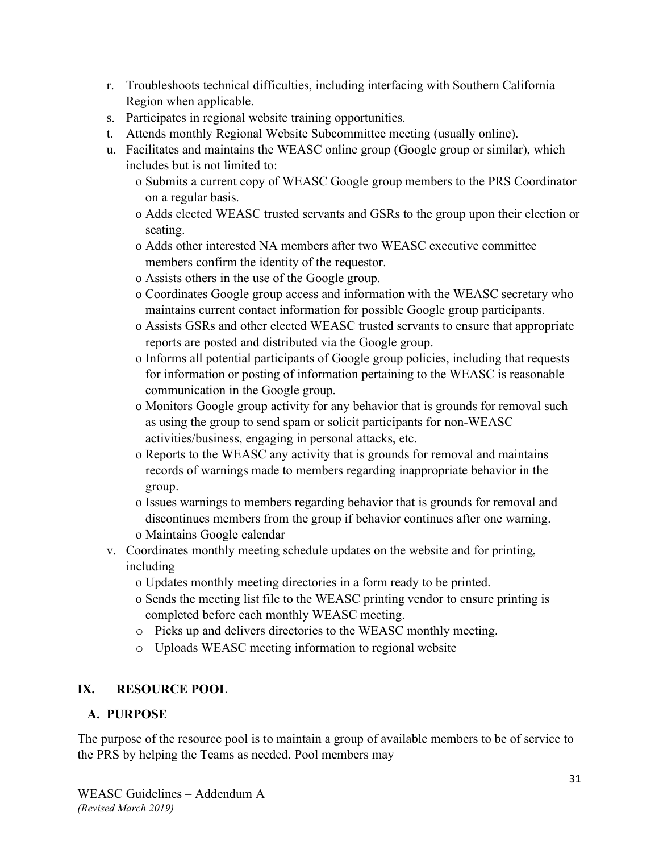- r. Troubleshoots technical difficulties, including interfacing with Southern California Region when applicable.
- s. Participates in regional website training opportunities.
- t. Attends monthly Regional Website Subcommittee meeting (usually online).
- u. Facilitates and maintains the WEASC online group (Google group or similar), which includes but is not limited to:
	- o Submits a current copy of WEASC Google group members to the PRS Coordinator on a regular basis.
	- o Adds elected WEASC trusted servants and GSRs to the group upon their election or seating.
	- o Adds other interested NA members after two WEASC executive committee members confirm the identity of the requestor.
	- o Assists others in the use of the Google group.
	- o Coordinates Google group access and information with the WEASC secretary who maintains current contact information for possible Google group participants.
	- o Assists GSRs and other elected WEASC trusted servants to ensure that appropriate reports are posted and distributed via the Google group.
	- o Informs all potential participants of Google group policies, including that requests for information or posting of information pertaining to the WEASC is reasonable communication in the Google group.
	- o Monitors Google group activity for any behavior that is grounds for removal such as using the group to send spam or solicit participants for non-WEASC activities/business, engaging in personal attacks, etc.
	- o Reports to the WEASC any activity that is grounds for removal and maintains records of warnings made to members regarding inappropriate behavior in the group.
	- o Issues warnings to members regarding behavior that is grounds for removal and discontinues members from the group if behavior continues after one warning. o Maintains Google calendar
- v. Coordinates monthly meeting schedule updates on the website and for printing, including
	- o Updates monthly meeting directories in a form ready to be printed.
	- o Sends the meeting list file to the WEASC printing vendor to ensure printing is completed before each monthly WEASC meeting.
	- o Picks up and delivers directories to the WEASC monthly meeting.
	- o Uploads WEASC meeting information to regional website

## **IX. RESOURCE POOL**

## **A. PURPOSE**

The purpose of the resource pool is to maintain a group of available members to be of service to the PRS by helping the Teams as needed. Pool members may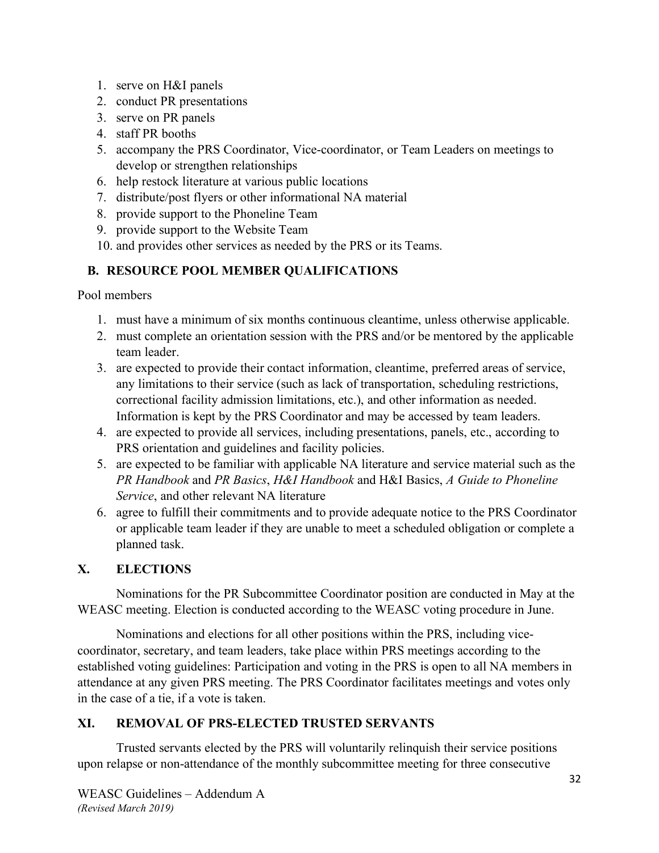- 1. serve on H&I panels
- 2. conduct PR presentations
- 3. serve on PR panels
- 4. staff PR booths
- 5. accompany the PRS Coordinator, Vice-coordinator, or Team Leaders on meetings to develop or strengthen relationships
- 6. help restock literature at various public locations
- 7. distribute/post flyers or other informational NA material
- 8. provide support to the Phoneline Team
- 9. provide support to the Website Team
- 10. and provides other services as needed by the PRS or its Teams.

## **B. RESOURCE POOL MEMBER QUALIFICATIONS**

Pool members

- 1. must have a minimum of six months continuous cleantime, unless otherwise applicable.
- 2. must complete an orientation session with the PRS and/or be mentored by the applicable team leader.
- 3. are expected to provide their contact information, cleantime, preferred areas of service, any limitations to their service (such as lack of transportation, scheduling restrictions, correctional facility admission limitations, etc.), and other information as needed. Information is kept by the PRS Coordinator and may be accessed by team leaders.
- 4. are expected to provide all services, including presentations, panels, etc., according to PRS orientation and guidelines and facility policies.
- 5. are expected to be familiar with applicable NA literature and service material such as the *PR Handbook* and *PR Basics*, *H&I Handbook* and H&I Basics, *A Guide to Phoneline Service*, and other relevant NA literature
- 6. agree to fulfill their commitments and to provide adequate notice to the PRS Coordinator or applicable team leader if they are unable to meet a scheduled obligation or complete a planned task.

## **X. ELECTIONS**

Nominations for the PR Subcommittee Coordinator position are conducted in May at the WEASC meeting. Election is conducted according to the WEASC voting procedure in June.

Nominations and elections for all other positions within the PRS, including vicecoordinator, secretary, and team leaders, take place within PRS meetings according to the established voting guidelines: Participation and voting in the PRS is open to all NA members in attendance at any given PRS meeting. The PRS Coordinator facilitates meetings and votes only in the case of a tie, if a vote is taken.

## **XI. REMOVAL OF PRS-ELECTED TRUSTED SERVANTS**

Trusted servants elected by the PRS will voluntarily relinquish their service positions upon relapse or non-attendance of the monthly subcommittee meeting for three consecutive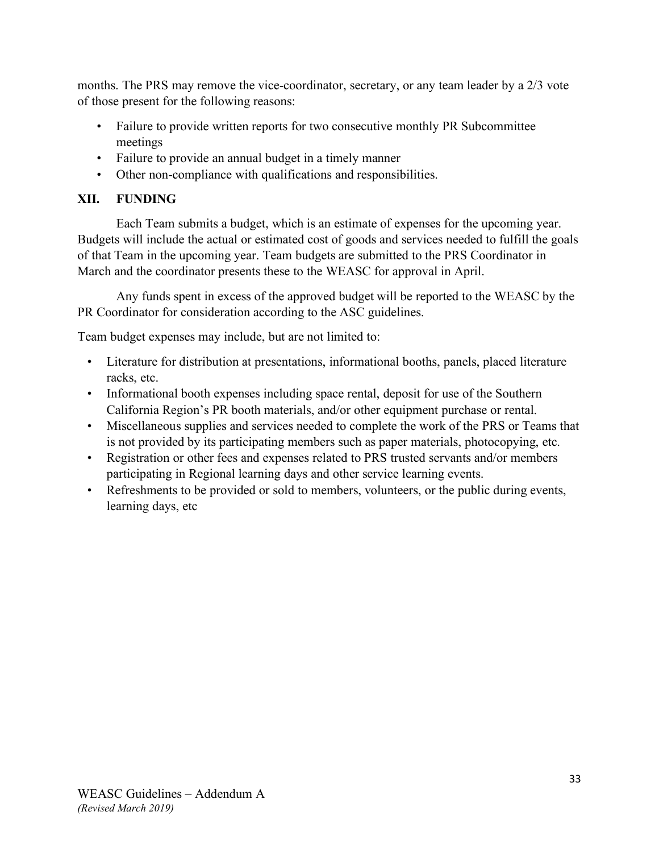months. The PRS may remove the vice-coordinator, secretary, or any team leader by a 2/3 vote of those present for the following reasons:

- Failure to provide written reports for two consecutive monthly PR Subcommittee meetings
- Failure to provide an annual budget in a timely manner
- Other non-compliance with qualifications and responsibilities.

## **XII. FUNDING**

Each Team submits a budget, which is an estimate of expenses for the upcoming year. Budgets will include the actual or estimated cost of goods and services needed to fulfill the goals of that Team in the upcoming year. Team budgets are submitted to the PRS Coordinator in March and the coordinator presents these to the WEASC for approval in April.

Any funds spent in excess of the approved budget will be reported to the WEASC by the PR Coordinator for consideration according to the ASC guidelines.

Team budget expenses may include, but are not limited to:

- Literature for distribution at presentations, informational booths, panels, placed literature racks, etc.
- Informational booth expenses including space rental, deposit for use of the Southern California Region's PR booth materials, and/or other equipment purchase or rental.
- Miscellaneous supplies and services needed to complete the work of the PRS or Teams that is not provided by its participating members such as paper materials, photocopying, etc.
- Registration or other fees and expenses related to PRS trusted servants and/or members participating in Regional learning days and other service learning events.
- Refreshments to be provided or sold to members, volunteers, or the public during events, learning days, etc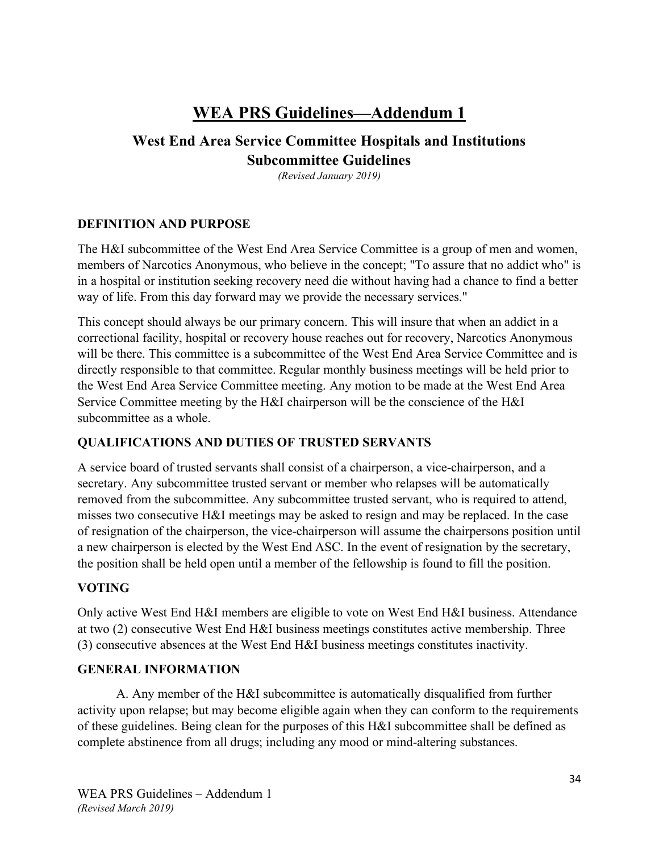## **WEA PRS Guidelines—Addendum 1**

## **West End Area Service Committee Hospitals and Institutions Subcommittee Guidelines**

*(Revised January 2019)* 

#### **DEFINITION AND PURPOSE**

The H&I subcommittee of the West End Area Service Committee is a group of men and women, members of Narcotics Anonymous, who believe in the concept; "To assure that no addict who" is in a hospital or institution seeking recovery need die without having had a chance to find a better way of life. From this day forward may we provide the necessary services."

This concept should always be our primary concern. This will insure that when an addict in a correctional facility, hospital or recovery house reaches out for recovery, Narcotics Anonymous will be there. This committee is a subcommittee of the West End Area Service Committee and is directly responsible to that committee. Regular monthly business meetings will be held prior to the West End Area Service Committee meeting. Any motion to be made at the West End Area Service Committee meeting by the H&I chairperson will be the conscience of the H&I subcommittee as a whole.

#### **QUALIFICATIONS AND DUTIES OF TRUSTED SERVANTS**

A service board of trusted servants shall consist of a chairperson, a vice-chairperson, and a secretary. Any subcommittee trusted servant or member who relapses will be automatically removed from the subcommittee. Any subcommittee trusted servant, who is required to attend, misses two consecutive H&I meetings may be asked to resign and may be replaced. In the case of resignation of the chairperson, the vice-chairperson will assume the chairpersons position until a new chairperson is elected by the West End ASC. In the event of resignation by the secretary, the position shall be held open until a member of the fellowship is found to fill the position.

## **VOTING**

Only active West End H&I members are eligible to vote on West End H&I business. Attendance at two (2) consecutive West End H&I business meetings constitutes active membership. Three (3) consecutive absences at the West End H&I business meetings constitutes inactivity.

## **GENERAL INFORMATION**

A. Any member of the H&I subcommittee is automatically disqualified from further activity upon relapse; but may become eligible again when they can conform to the requirements of these guidelines. Being clean for the purposes of this H&I subcommittee shall be defined as complete abstinence from all drugs; including any mood or mind-altering substances.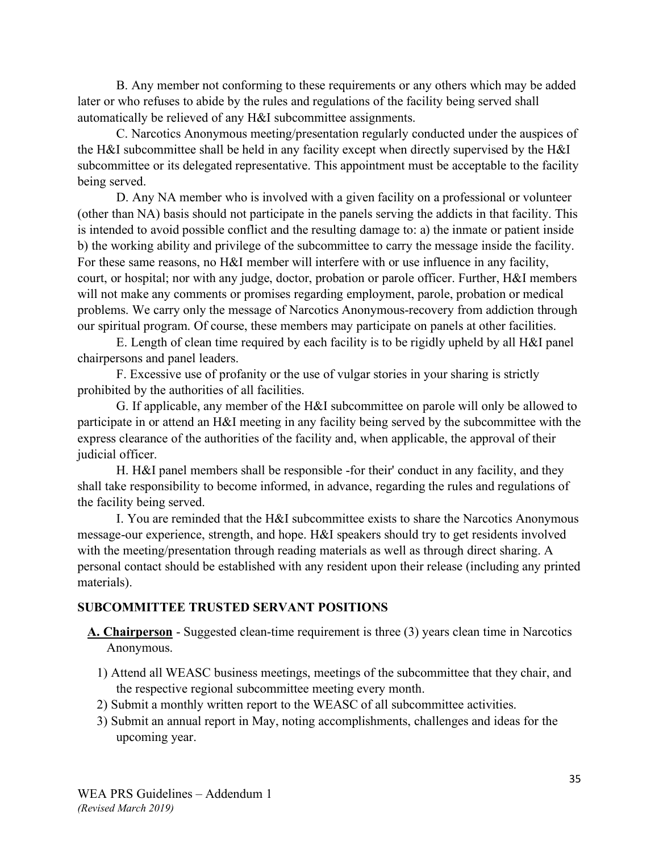B. Any member not conforming to these requirements or any others which may be added later or who refuses to abide by the rules and regulations of the facility being served shall automatically be relieved of any H&I subcommittee assignments.

C. Narcotics Anonymous meeting/presentation regularly conducted under the auspices of the H&I subcommittee shall be held in any facility except when directly supervised by the H&I subcommittee or its delegated representative. This appointment must be acceptable to the facility being served.

D. Any NA member who is involved with a given facility on a professional or volunteer (other than NA) basis should not participate in the panels serving the addicts in that facility. This is intended to avoid possible conflict and the resulting damage to: a) the inmate or patient inside b) the working ability and privilege of the subcommittee to carry the message inside the facility. For these same reasons, no H&I member will interfere with or use influence in any facility, court, or hospital; nor with any judge, doctor, probation or parole officer. Further, H&I members will not make any comments or promises regarding employment, parole, probation or medical problems. We carry only the message of Narcotics Anonymous-recovery from addiction through our spiritual program. Of course, these members may participate on panels at other facilities.

E. Length of clean time required by each facility is to be rigidly upheld by all H&I panel chairpersons and panel leaders.

F. Excessive use of profanity or the use of vulgar stories in your sharing is strictly prohibited by the authorities of all facilities.

G. If applicable, any member of the H&I subcommittee on parole will only be allowed to participate in or attend an H&I meeting in any facility being served by the subcommittee with the express clearance of the authorities of the facility and, when applicable, the approval of their judicial officer.

H. H&I panel members shall be responsible -for their' conduct in any facility, and they shall take responsibility to become informed, in advance, regarding the rules and regulations of the facility being served.

I. You are reminded that the H&I subcommittee exists to share the Narcotics Anonymous message-our experience, strength, and hope. H&I speakers should try to get residents involved with the meeting/presentation through reading materials as well as through direct sharing. A personal contact should be established with any resident upon their release (including any printed materials).

#### **SUBCOMMITTEE TRUSTED SERVANT POSITIONS**

- **A. Chairperson** Suggested clean-time requirement is three (3) years clean time in Narcotics Anonymous.
	- 1) Attend all WEASC business meetings, meetings of the subcommittee that they chair, and the respective regional subcommittee meeting every month.
	- 2) Submit a monthly written report to the WEASC of all subcommittee activities.
	- 3) Submit an annual report in May, noting accomplishments, challenges and ideas for the upcoming year.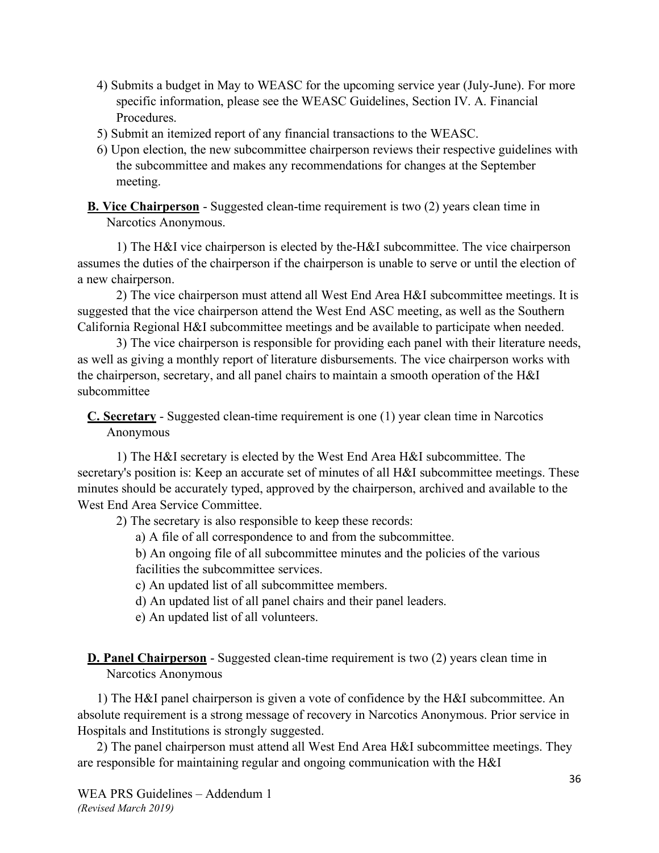- 4) Submits a budget in May to WEASC for the upcoming service year (July-June). For more specific information, please see the WEASC Guidelines, Section IV. A. Financial Procedures.
- 5) Submit an itemized report of any financial transactions to the WEASC.
- 6) Upon election, the new subcommittee chairperson reviews their respective guidelines with the subcommittee and makes any recommendations for changes at the September meeting.

**B. Vice Chairperson** - Suggested clean-time requirement is two (2) years clean time in Narcotics Anonymous.

1) The H&I vice chairperson is elected by the-H&I subcommittee. The vice chairperson assumes the duties of the chairperson if the chairperson is unable to serve or until the election of a new chairperson.

2) The vice chairperson must attend all West End Area H&I subcommittee meetings. It is suggested that the vice chairperson attend the West End ASC meeting, as well as the Southern California Regional H&I subcommittee meetings and be available to participate when needed.

3) The vice chairperson is responsible for providing each panel with their literature needs, as well as giving a monthly report of literature disbursements. The vice chairperson works with the chairperson, secretary, and all panel chairs to maintain a smooth operation of the H&I subcommittee

**C. Secretary** - Suggested clean-time requirement is one (1) year clean time in Narcotics Anonymous

1) The H&I secretary is elected by the West End Area H&I subcommittee. The secretary's position is: Keep an accurate set of minutes of all H&I subcommittee meetings. These minutes should be accurately typed, approved by the chairperson, archived and available to the West End Area Service Committee.

2) The secretary is also responsible to keep these records:

a) A file of all correspondence to and from the subcommittee.

b) An ongoing file of all subcommittee minutes and the policies of the various facilities the subcommittee services.

- c) An updated list of all subcommittee members.
- d) An updated list of all panel chairs and their panel leaders.
- e) An updated list of all volunteers.

**D. Panel Chairperson** - Suggested clean-time requirement is two (2) years clean time in Narcotics Anonymous

1) The H&I panel chairperson is given a vote of confidence by the H&I subcommittee. An absolute requirement is a strong message of recovery in Narcotics Anonymous. Prior service in Hospitals and Institutions is strongly suggested.

2) The panel chairperson must attend all West End Area H&I subcommittee meetings. They are responsible for maintaining regular and ongoing communication with the H&I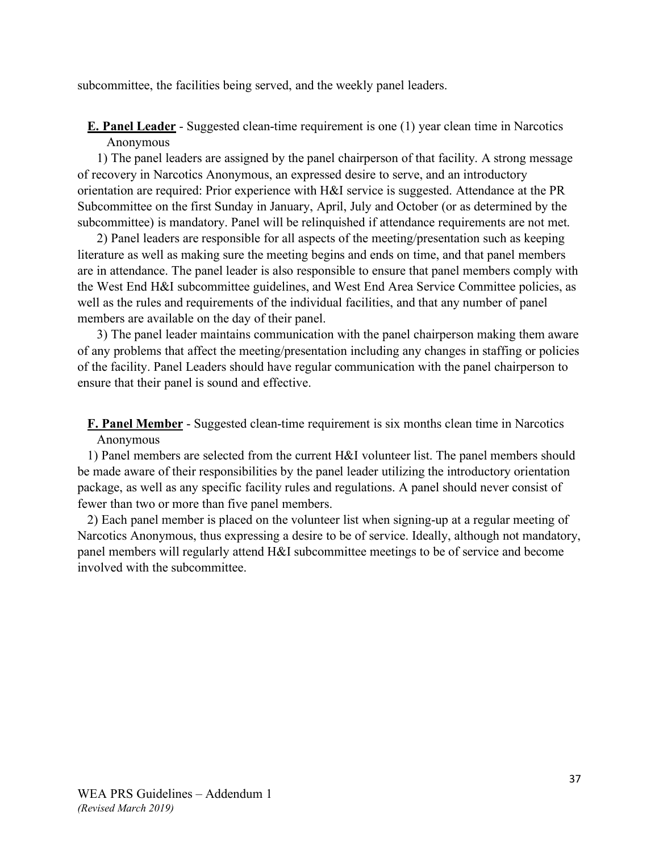subcommittee, the facilities being served, and the weekly panel leaders.

**E. Panel Leader** - Suggested clean-time requirement is one (1) year clean time in Narcotics Anonymous

1) The panel leaders are assigned by the panel chairperson of that facility. A strong message of recovery in Narcotics Anonymous, an expressed desire to serve, and an introductory orientation are required: Prior experience with H&I service is suggested. Attendance at the PR Subcommittee on the first Sunday in January, April, July and October (or as determined by the subcommittee) is mandatory. Panel will be relinquished if attendance requirements are not met.

2) Panel leaders are responsible for all aspects of the meeting/presentation such as keeping literature as well as making sure the meeting begins and ends on time, and that panel members are in attendance. The panel leader is also responsible to ensure that panel members comply with the West End H&I subcommittee guidelines, and West End Area Service Committee policies, as well as the rules and requirements of the individual facilities, and that any number of panel members are available on the day of their panel.

3) The panel leader maintains communication with the panel chairperson making them aware of any problems that affect the meeting/presentation including any changes in staffing or policies of the facility. Panel Leaders should have regular communication with the panel chairperson to ensure that their panel is sound and effective.

**F. Panel Member** - Suggested clean-time requirement is six months clean time in Narcotics Anonymous

1) Panel members are selected from the current H&I volunteer list. The panel members should be made aware of their responsibilities by the panel leader utilizing the introductory orientation package, as well as any specific facility rules and regulations. A panel should never consist of fewer than two or more than five panel members.

2) Each panel member is placed on the volunteer list when signing-up at a regular meeting of Narcotics Anonymous, thus expressing a desire to be of service. Ideally, although not mandatory, panel members will regularly attend H&I subcommittee meetings to be of service and become involved with the subcommittee.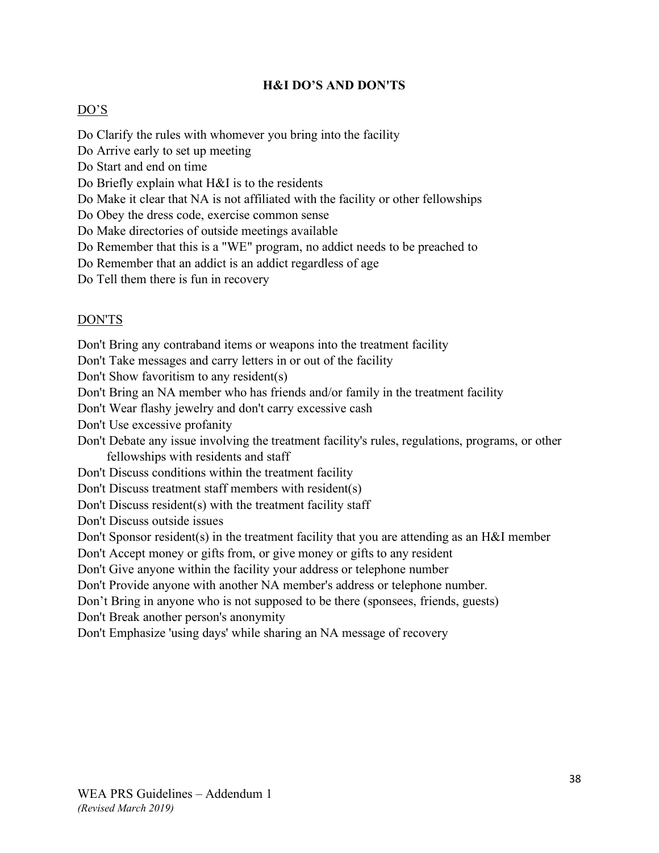#### **H&I DO'S AND DON'TS**

#### DO'S

Do Clarify the rules with whomever you bring into the facility Do Arrive early to set up meeting Do Start and end on time Do Briefly explain what H&I is to the residents Do Make it clear that NA is not affiliated with the facility or other fellowships Do Obey the dress code, exercise common sense Do Make directories of outside meetings available Do Remember that this is a "WE" program, no addict needs to be preached to Do Remember that an addict is an addict regardless of age Do Tell them there is fun in recovery

#### DON'TS

Don't Bring any contraband items or weapons into the treatment facility

Don't Take messages and carry letters in or out of the facility

Don't Show favoritism to any resident(s)

Don't Bring an NA member who has friends and/or family in the treatment facility

Don't Wear flashy jewelry and don't carry excessive cash

Don't Use excessive profanity

Don't Debate any issue involving the treatment facility's rules, regulations, programs, or other fellowships with residents and staff

Don't Discuss conditions within the treatment facility

Don't Discuss treatment staff members with resident(s)

Don't Discuss resident(s) with the treatment facility staff

Don't Discuss outside issues

Don't Sponsor resident(s) in the treatment facility that you are attending as an H&I member

Don't Accept money or gifts from, or give money or gifts to any resident

Don't Give anyone within the facility your address or telephone number

Don't Provide anyone with another NA member's address or telephone number.

Don't Bring in anyone who is not supposed to be there (sponsees, friends, guests)

Don't Break another person's anonymity

Don't Emphasize 'using days' while sharing an NA message of recovery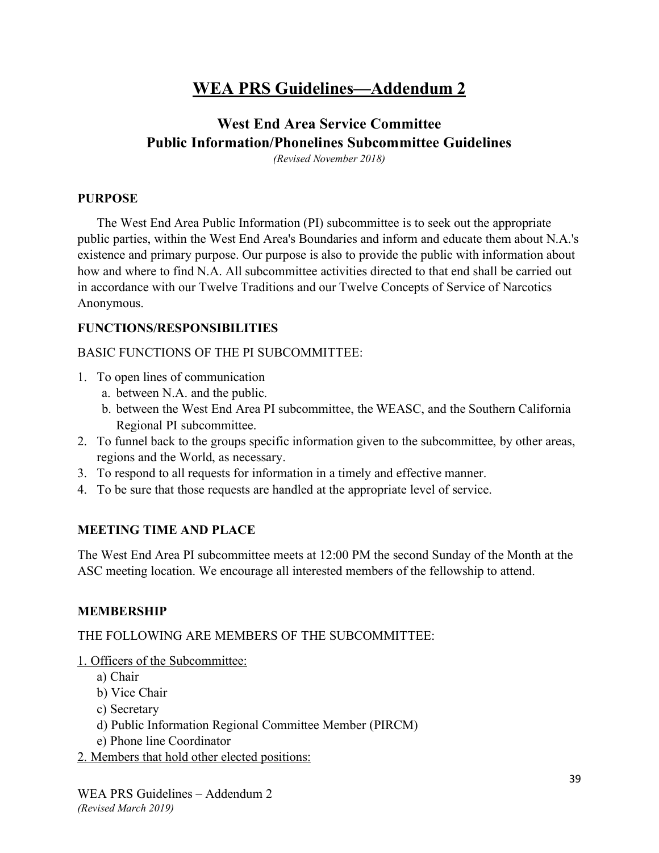## **WEA PRS Guidelines—Addendum 2**

## **West End Area Service Committee Public Information/Phonelines Subcommittee Guidelines**

*(Revised November 2018)*

#### **PURPOSE**

The West End Area Public Information (PI) subcommittee is to seek out the appropriate public parties, within the West End Area's Boundaries and inform and educate them about N.A.'s existence and primary purpose. Our purpose is also to provide the public with information about how and where to find N.A. All subcommittee activities directed to that end shall be carried out in accordance with our Twelve Traditions and our Twelve Concepts of Service of Narcotics Anonymous.

#### **FUNCTIONS/RESPONSIBILITIES**

#### BASIC FUNCTIONS OF THE PI SUBCOMMITTEE:

- 1. To open lines of communication
	- a. between N.A. and the public.
	- b. between the West End Area PI subcommittee, the WEASC, and the Southern California Regional PI subcommittee.
- 2. To funnel back to the groups specific information given to the subcommittee, by other areas, regions and the World, as necessary.
- 3. To respond to all requests for information in a timely and effective manner.
- 4. To be sure that those requests are handled at the appropriate level of service.

#### **MEETING TIME AND PLACE**

The West End Area PI subcommittee meets at 12:00 PM the second Sunday of the Month at the ASC meeting location. We encourage all interested members of the fellowship to attend.

#### **MEMBERSHIP**

#### THE FOLLOWING ARE MEMBERS OF THE SUBCOMMITTEE:

#### 1. Officers of the Subcommittee:

- a) Chair
- b) Vice Chair
- c) Secretary
- d) Public Information Regional Committee Member (PIRCM)
- e) Phone line Coordinator
- 2. Members that hold other elected positions: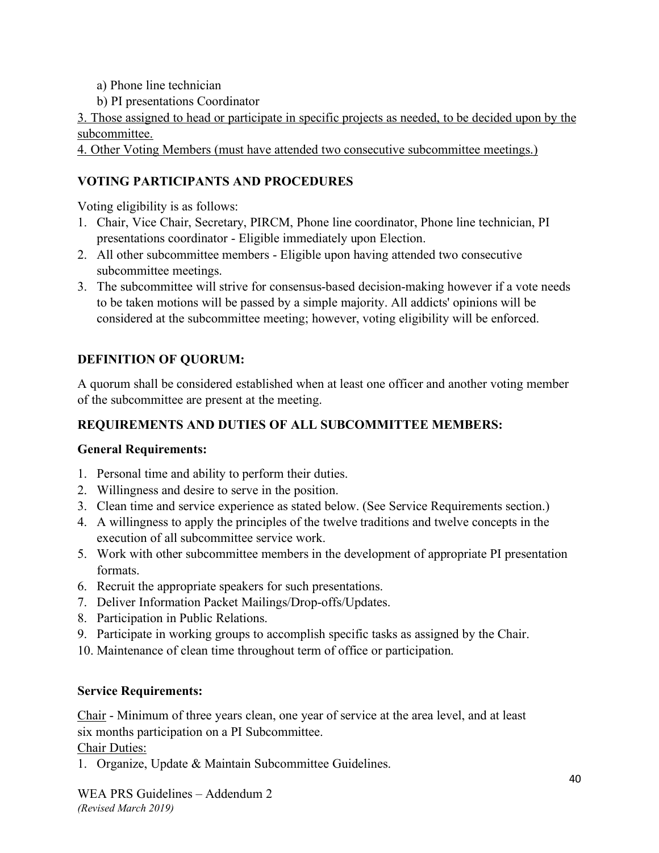- a) Phone line technician
- b) PI presentations Coordinator

3. Those assigned to head or participate in specific projects as needed, to be decided upon by the subcommittee.

4. Other Voting Members (must have attended two consecutive subcommittee meetings.)

## **VOTING PARTICIPANTS AND PROCEDURES**

Voting eligibility is as follows:

- 1. Chair, Vice Chair, Secretary, PIRCM, Phone line coordinator, Phone line technician, PI presentations coordinator - Eligible immediately upon Election.
- 2. All other subcommittee members Eligible upon having attended two consecutive subcommittee meetings.
- 3. The subcommittee will strive for consensus-based decision-making however if a vote needs to be taken motions will be passed by a simple majority. All addicts' opinions will be considered at the subcommittee meeting; however, voting eligibility will be enforced.

## **DEFINITION OF QUORUM:**

A quorum shall be considered established when at least one officer and another voting member of the subcommittee are present at the meeting.

## **REQUIREMENTS AND DUTIES OF ALL SUBCOMMITTEE MEMBERS:**

## **General Requirements:**

- 1. Personal time and ability to perform their duties.
- 2. Willingness and desire to serve in the position.
- 3. Clean time and service experience as stated below. (See Service Requirements section.)
- 4. A willingness to apply the principles of the twelve traditions and twelve concepts in the execution of all subcommittee service work.
- 5. Work with other subcommittee members in the development of appropriate PI presentation formats.
- 6. Recruit the appropriate speakers for such presentations.
- 7. Deliver Information Packet Mailings/Drop-offs/Updates.
- 8. Participation in Public Relations.
- 9. Participate in working groups to accomplish specific tasks as assigned by the Chair.
- 10. Maintenance of clean time throughout term of office or participation.

#### **Service Requirements:**

Chair - Minimum of three years clean, one year of service at the area level, and at least six months participation on a PI Subcommittee.

#### Chair Duties:

1. Organize, Update & Maintain Subcommittee Guidelines.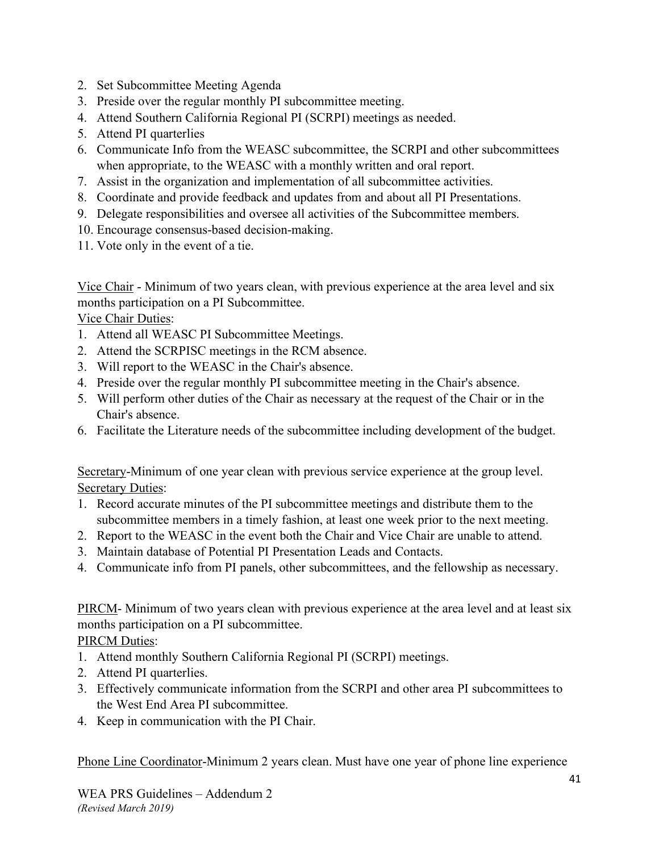- 2. Set Subcommittee Meeting Agenda
- 3. Preside over the regular monthly PI subcommittee meeting.
- 4. Attend Southern California Regional PI (SCRPI) meetings as needed.
- 5. Attend PI quarterlies
- 6. Communicate Info from the WEASC subcommittee, the SCRPI and other subcommittees when appropriate, to the WEASC with a monthly written and oral report.
- 7. Assist in the organization and implementation of all subcommittee activities.
- 8. Coordinate and provide feedback and updates from and about all PI Presentations.
- 9. Delegate responsibilities and oversee all activities of the Subcommittee members.
- 10. Encourage consensus-based decision-making.
- 11. Vote only in the event of a tie.

Vice Chair - Minimum of two years clean, with previous experience at the area level and six months participation on a PI Subcommittee.

Vice Chair Duties:

- 1. Attend all WEASC PI Subcommittee Meetings.
- 2. Attend the SCRPISC meetings in the RCM absence.
- 3. Will report to the WEASC in the Chair's absence.
- 4. Preside over the regular monthly PI subcommittee meeting in the Chair's absence.
- 5. Will perform other duties of the Chair as necessary at the request of the Chair or in the Chair's absence.
- 6. Facilitate the Literature needs of the subcommittee including development of the budget.

Secretary-Minimum of one year clean with previous service experience at the group level. Secretary Duties:

- 1. Record accurate minutes of the PI subcommittee meetings and distribute them to the subcommittee members in a timely fashion, at least one week prior to the next meeting.
- 2. Report to the WEASC in the event both the Chair and Vice Chair are unable to attend.
- 3. Maintain database of Potential PI Presentation Leads and Contacts.
- 4. Communicate info from PI panels, other subcommittees, and the fellowship as necessary.

PIRCM- Minimum of two years clean with previous experience at the area level and at least six months participation on a PI subcommittee.

PIRCM Duties:

- 1. Attend monthly Southern California Regional PI (SCRPI) meetings.
- 2. Attend PI quarterlies.
- 3. Effectively communicate information from the SCRPI and other area PI subcommittees to the West End Area PI subcommittee.
- 4. Keep in communication with the PI Chair.

Phone Line Coordinator-Minimum 2 years clean. Must have one year of phone line experience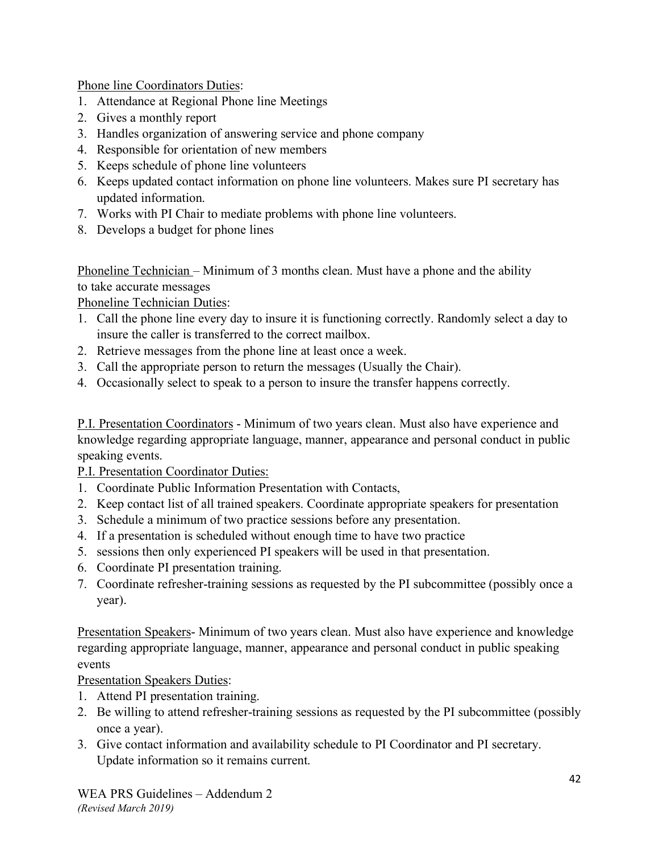Phone line Coordinators Duties:

- 1. Attendance at Regional Phone line Meetings
- 2. Gives a monthly report
- 3. Handles organization of answering service and phone company
- 4. Responsible for orientation of new members
- 5. Keeps schedule of phone line volunteers
- 6. Keeps updated contact information on phone line volunteers. Makes sure PI secretary has updated information.
- 7. Works with PI Chair to mediate problems with phone line volunteers.
- 8. Develops a budget for phone lines

Phoneline Technician – Minimum of 3 months clean. Must have a phone and the ability to take accurate messages

Phoneline Technician Duties:

- 1. Call the phone line every day to insure it is functioning correctly. Randomly select a day to insure the caller is transferred to the correct mailbox.
- 2. Retrieve messages from the phone line at least once a week.
- 3. Call the appropriate person to return the messages (Usually the Chair).
- 4. Occasionally select to speak to a person to insure the transfer happens correctly.

P.I. Presentation Coordinators - Minimum of two years clean. Must also have experience and knowledge regarding appropriate language, manner, appearance and personal conduct in public speaking events.

P.I. Presentation Coordinator Duties:

- 1. Coordinate Public Information Presentation with Contacts,
- 2. Keep contact list of all trained speakers. Coordinate appropriate speakers for presentation
- 3. Schedule a minimum of two practice sessions before any presentation.
- 4. If a presentation is scheduled without enough time to have two practice
- 5. sessions then only experienced PI speakers will be used in that presentation.
- 6. Coordinate PI presentation training.
- 7. Coordinate refresher-training sessions as requested by the PI subcommittee (possibly once a year).

Presentation Speakers- Minimum of two years clean. Must also have experience and knowledge regarding appropriate language, manner, appearance and personal conduct in public speaking events

Presentation Speakers Duties:

- 1. Attend PI presentation training.
- 2. Be willing to attend refresher-training sessions as requested by the PI subcommittee (possibly once a year).
- 3. Give contact information and availability schedule to PI Coordinator and PI secretary. Update information so it remains current.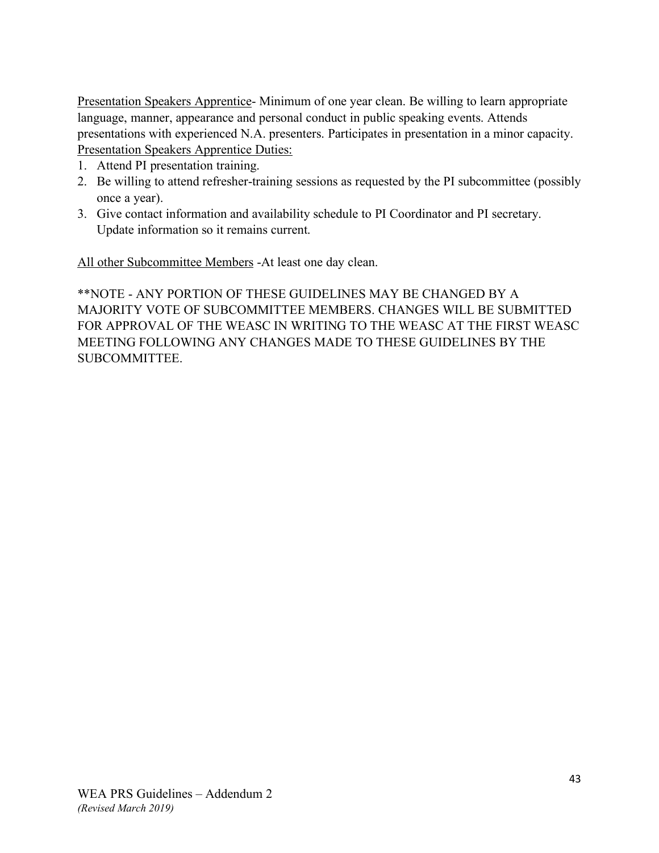Presentation Speakers Apprentice- Minimum of one year clean. Be willing to learn appropriate language, manner, appearance and personal conduct in public speaking events. Attends presentations with experienced N.A. presenters. Participates in presentation in a minor capacity. Presentation Speakers Apprentice Duties:

- 1. Attend PI presentation training.
- 2. Be willing to attend refresher-training sessions as requested by the PI subcommittee (possibly once a year).
- 3. Give contact information and availability schedule to PI Coordinator and PI secretary. Update information so it remains current.

All other Subcommittee Members -At least one day clean.

\*\*NOTE - ANY PORTION OF THESE GUIDELINES MAY BE CHANGED BY A MAJORITY VOTE OF SUBCOMMITTEE MEMBERS. CHANGES WILL BE SUBMITTED FOR APPROVAL OF THE WEASC IN WRITING TO THE WEASC AT THE FIRST WEASC MEETING FOLLOWING ANY CHANGES MADE TO THESE GUIDELINES BY THE SUBCOMMITTEE.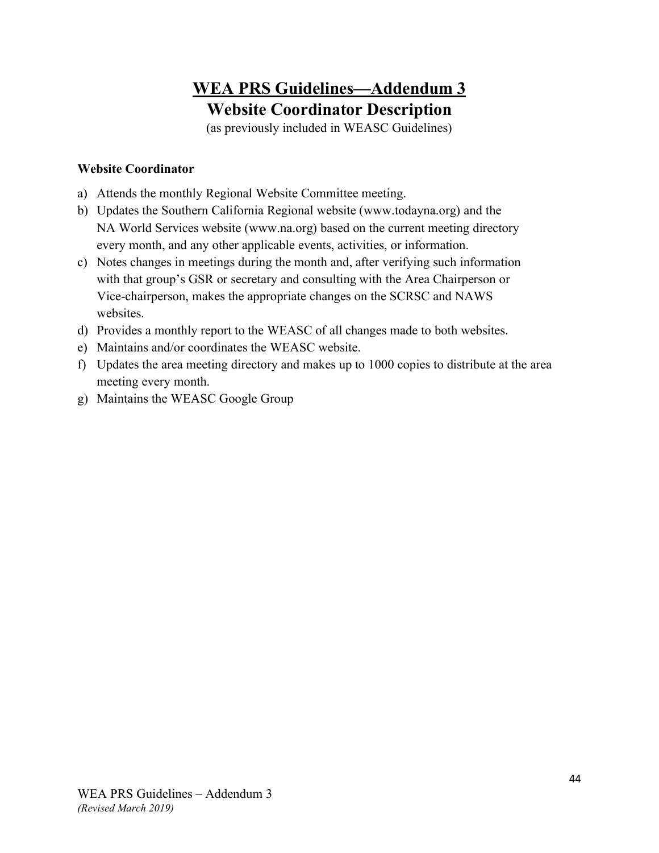## **WEA PRS Guidelines—Addendum 3 Website Coordinator Description**

(as previously included in WEASC Guidelines)

## **Website Coordinator**

- a) Attends the monthly Regional Website Committee meeting.
- b) Updates the Southern California Regional website (www.todayna.org) and the NA World Services website (www.na.org) based on the current meeting directory every month, and any other applicable events, activities, or information.
- c) Notes changes in meetings during the month and, after verifying such information with that group's GSR or secretary and consulting with the Area Chairperson or Vice-chairperson, makes the appropriate changes on the SCRSC and NAWS websites.
- d) Provides a monthly report to the WEASC of all changes made to both websites.
- e) Maintains and/or coordinates the WEASC website.
- f) Updates the area meeting directory and makes up to 1000 copies to distribute at the area meeting every month.
- g) Maintains the WEASC Google Group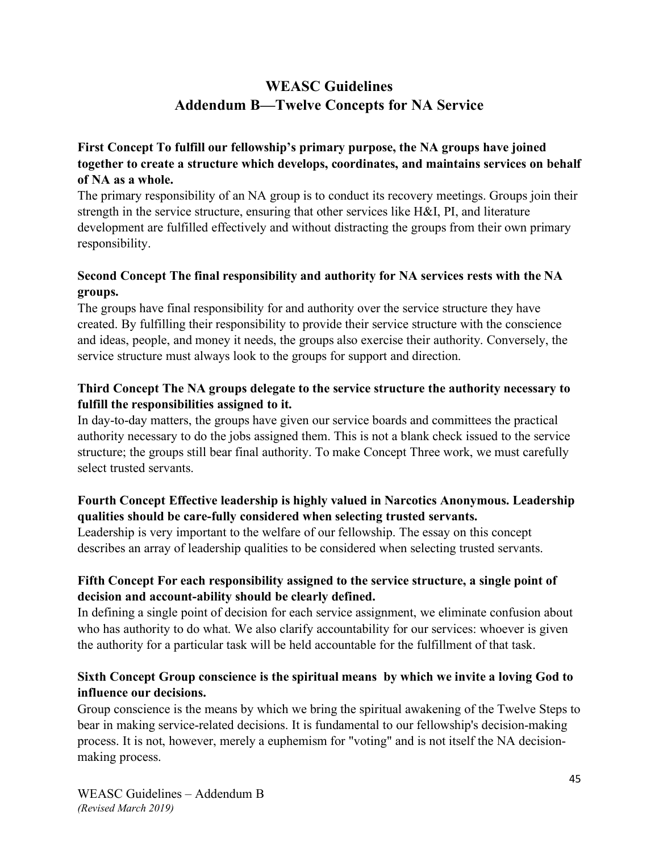## **WEASC Guidelines Addendum B—Twelve Concepts for NA Service**

## **First Concept To fulfill our fellowship's primary purpose, the NA groups have joined together to create a structure which develops, coordinates, and maintains services on behalf of NA as a whole.**

The primary responsibility of an NA group is to conduct its recovery meetings. Groups join their strength in the service structure, ensuring that other services like H&I, PI, and literature development are fulfilled effectively and without distracting the groups from their own primary responsibility.

## **Second Concept The final responsibility and authority for NA services rests with the NA groups.**

The groups have final responsibility for and authority over the service structure they have created. By fulfilling their responsibility to provide their service structure with the conscience and ideas, people, and money it needs, the groups also exercise their authority. Conversely, the service structure must always look to the groups for support and direction.

#### **Third Concept The NA groups delegate to the service structure the authority necessary to fulfill the responsibilities assigned to it.**

In day-to-day matters, the groups have given our service boards and committees the practical authority necessary to do the jobs assigned them. This is not a blank check issued to the service structure; the groups still bear final authority. To make Concept Three work, we must carefully select trusted servants.

## **Fourth Concept Effective leadership is highly valued in Narcotics Anonymous. Leadership qualities should be care-fully considered when selecting trusted servants.**

Leadership is very important to the welfare of our fellowship. The essay on this concept describes an array of leadership qualities to be considered when selecting trusted servants.

#### **Fifth Concept For each responsibility assigned to the service structure, a single point of decision and account-ability should be clearly defined.**

In defining a single point of decision for each service assignment, we eliminate confusion about who has authority to do what. We also clarify accountability for our services: whoever is given the authority for a particular task will be held accountable for the fulfillment of that task.

## **Sixth Concept Group conscience is the spiritual means by which we invite a loving God to influence our decisions.**

Group conscience is the means by which we bring the spiritual awakening of the Twelve Steps to bear in making service-related decisions. It is fundamental to our fellowship's decision-making process. It is not, however, merely a euphemism for "voting" and is not itself the NA decisionmaking process.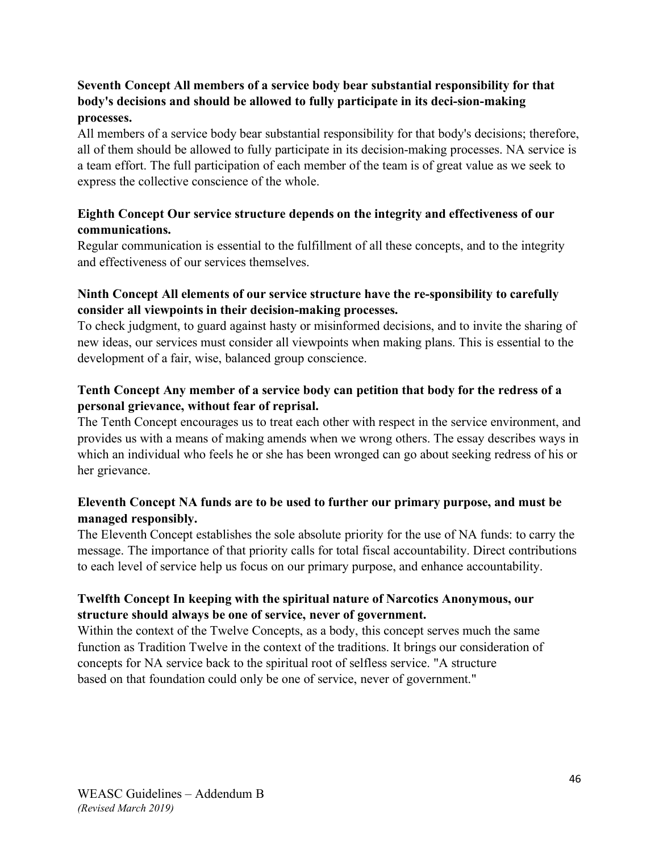## **Seventh Concept All members of a service body bear substantial responsibility for that body's decisions and should be allowed to fully participate in its deci-sion-making processes.**

All members of a service body bear substantial responsibility for that body's decisions; therefore, all of them should be allowed to fully participate in its decision-making processes. NA service is a team effort. The full participation of each member of the team is of great value as we seek to express the collective conscience of the whole.

## **Eighth Concept Our service structure depends on the integrity and effectiveness of our communications.**

Regular communication is essential to the fulfillment of all these concepts, and to the integrity and effectiveness of our services themselves.

## **Ninth Concept All elements of our service structure have the re-sponsibility to carefully consider all viewpoints in their decision-making processes.**

To check judgment, to guard against hasty or misinformed decisions, and to invite the sharing of new ideas, our services must consider all viewpoints when making plans. This is essential to the development of a fair, wise, balanced group conscience.

### **Tenth Concept Any member of a service body can petition that body for the redress of a personal grievance, without fear of reprisal.**

The Tenth Concept encourages us to treat each other with respect in the service environment, and provides us with a means of making amends when we wrong others. The essay describes ways in which an individual who feels he or she has been wronged can go about seeking redress of his or her grievance.

## **Eleventh Concept NA funds are to be used to further our primary purpose, and must be managed responsibly.**

The Eleventh Concept establishes the sole absolute priority for the use of NA funds: to carry the message. The importance of that priority calls for total fiscal accountability. Direct contributions to each level of service help us focus on our primary purpose, and enhance accountability.

## **Twelfth Concept In keeping with the spiritual nature of Narcotics Anonymous, our structure should always be one of service, never of government.**

Within the context of the Twelve Concepts, as a body, this concept serves much the same function as Tradition Twelve in the context of the traditions. It brings our consideration of concepts for NA service back to the spiritual root of selfless service. "A structure based on that foundation could only be one of service, never of government."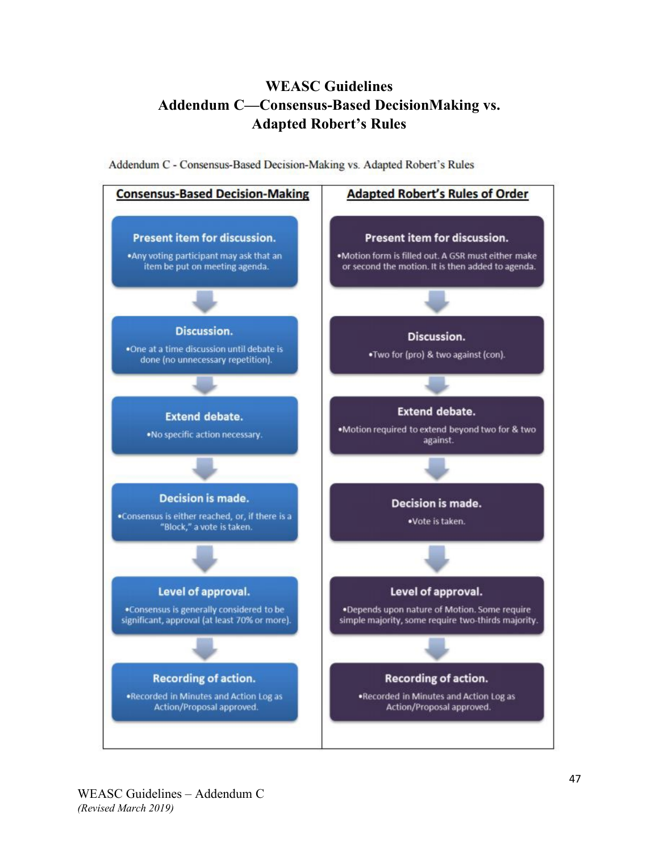## **WEASC Guidelines Addendum C—Consensus-Based DecisionMaking vs. Adapted Robert's Rules**

Addendum C - Consensus-Based Decision-Making vs. Adapted Robert's Rules

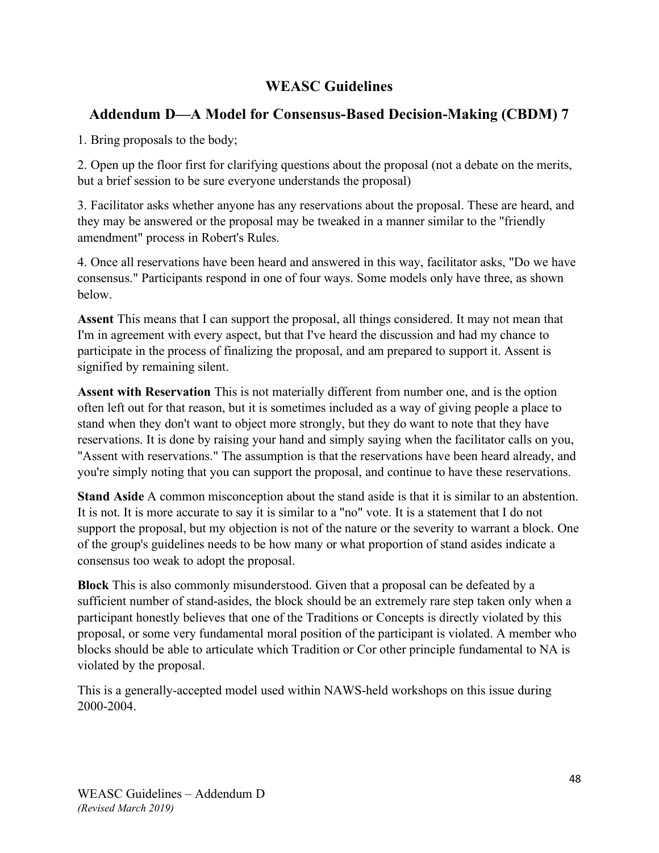## **WEASC Guidelines**

## **Addendum D—A Model for Consensus-Based Decision-Making (CBDM) 7**

1. Bring proposals to the body;

2. Open up the floor first for clarifying questions about the proposal (not a debate on the merits, but a brief session to be sure everyone understands the proposal)

3. Facilitator asks whether anyone has any reservations about the proposal. These are heard, and they may be answered or the proposal may be tweaked in a manner similar to the "friendly amendment" process in Robert's Rules.

4. Once all reservations have been heard and answered in this way, facilitator asks, "Do we have consensus." Participants respond in one of four ways. Some models only have three, as shown below.

**Assent** This means that I can support the proposal, all things considered. It may not mean that I'm in agreement with every aspect, but that I've heard the discussion and had my chance to participate in the process of finalizing the proposal, and am prepared to support it. Assent is signified by remaining silent.

**Assent with Reservation** This is not materially different from number one, and is the option often left out for that reason, but it is sometimes included as a way of giving people a place to stand when they don't want to object more strongly, but they do want to note that they have reservations. It is done by raising your hand and simply saying when the facilitator calls on you, "Assent with reservations." The assumption is that the reservations have been heard already, and you're simply noting that you can support the proposal, and continue to have these reservations.

**Stand Aside** A common misconception about the stand aside is that it is similar to an abstention. It is not. It is more accurate to say it is similar to a "no" vote. It is a statement that I do not support the proposal, but my objection is not of the nature or the severity to warrant a block. One of the group's guidelines needs to be how many or what proportion of stand asides indicate a consensus too weak to adopt the proposal.

**Block** This is also commonly misunderstood. Given that a proposal can be defeated by a sufficient number of stand-asides, the block should be an extremely rare step taken only when a participant honestly believes that one of the Traditions or Concepts is directly violated by this proposal, or some very fundamental moral position of the participant is violated. A member who blocks should be able to articulate which Tradition or Cor other principle fundamental to NA is violated by the proposal.

This is a generally-accepted model used within NAWS-held workshops on this issue during 2000-2004.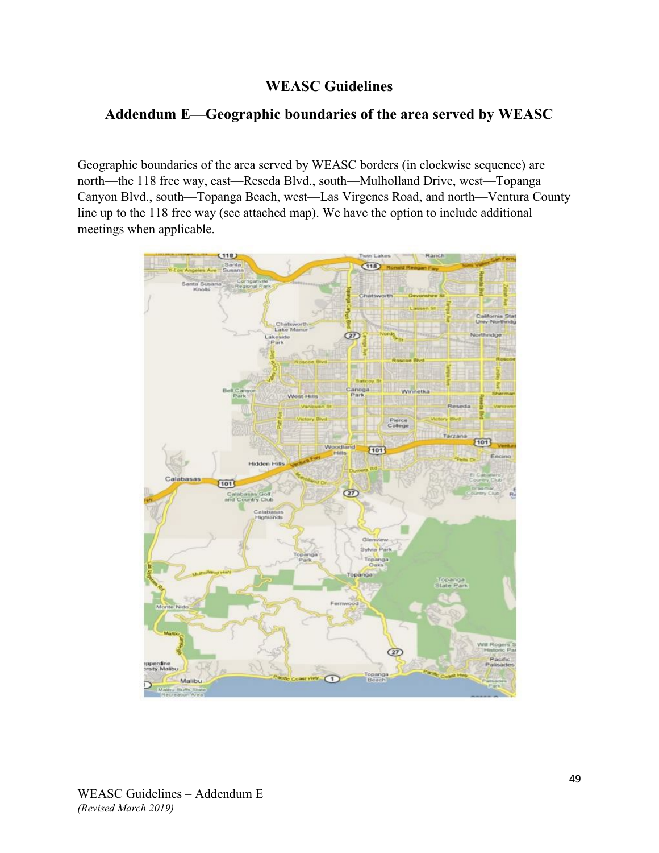## **WEASC Guidelines**

## **Addendum E—Geographic boundaries of the area served by WEASC**

Geographic boundaries of the area served by WEASC borders (in clockwise sequence) are north—the 118 free way, east—Reseda Blvd., south—Mulholland Drive, west—Topanga Canyon Blvd., south—Topanga Beach, west—Las Virgenes Road, and north—Ventura County line up to the 118 free way (see attached map). We have the option to include additional meetings when applicable.

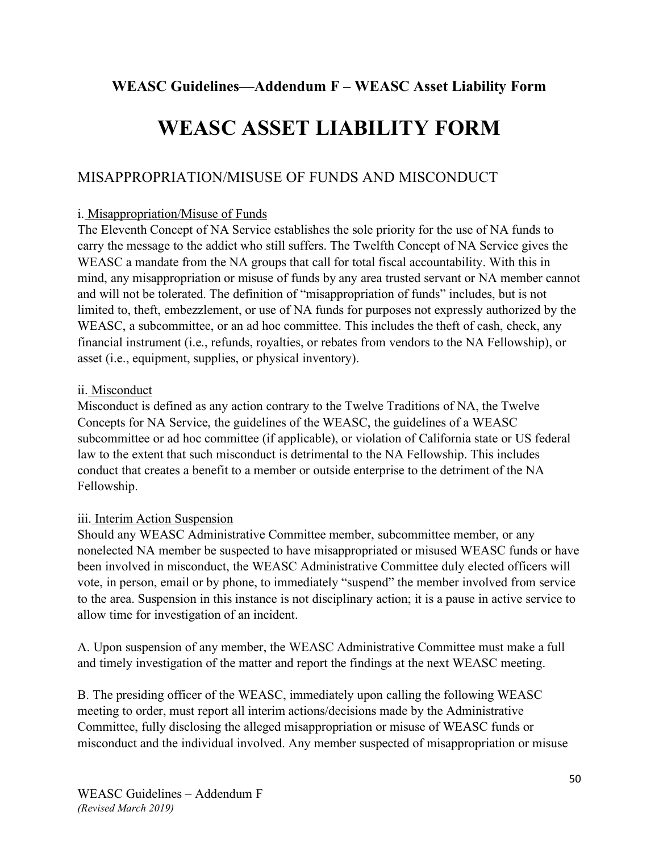## **WEASC Guidelines—Addendum F – WEASC Asset Liability Form**

# **WEASC ASSET LIABILITY FORM**

## MISAPPROPRIATION/MISUSE OF FUNDS AND MISCONDUCT

#### i. Misappropriation/Misuse of Funds

The Eleventh Concept of NA Service establishes the sole priority for the use of NA funds to carry the message to the addict who still suffers. The Twelfth Concept of NA Service gives the WEASC a mandate from the NA groups that call for total fiscal accountability. With this in mind, any misappropriation or misuse of funds by any area trusted servant or NA member cannot and will not be tolerated. The definition of "misappropriation of funds" includes, but is not limited to, theft, embezzlement, or use of NA funds for purposes not expressly authorized by the WEASC, a subcommittee, or an ad hoc committee. This includes the theft of cash, check, any financial instrument (i.e., refunds, royalties, or rebates from vendors to the NA Fellowship), or asset (i.e., equipment, supplies, or physical inventory).

#### ii. Misconduct

Misconduct is defined as any action contrary to the Twelve Traditions of NA, the Twelve Concepts for NA Service, the guidelines of the WEASC, the guidelines of a WEASC subcommittee or ad hoc committee (if applicable), or violation of California state or US federal law to the extent that such misconduct is detrimental to the NA Fellowship. This includes conduct that creates a benefit to a member or outside enterprise to the detriment of the NA Fellowship.

#### iii. Interim Action Suspension

Should any WEASC Administrative Committee member, subcommittee member, or any nonelected NA member be suspected to have misappropriated or misused WEASC funds or have been involved in misconduct, the WEASC Administrative Committee duly elected officers will vote, in person, email or by phone, to immediately "suspend" the member involved from service to the area. Suspension in this instance is not disciplinary action; it is a pause in active service to allow time for investigation of an incident.

A. Upon suspension of any member, the WEASC Administrative Committee must make a full and timely investigation of the matter and report the findings at the next WEASC meeting.

B. The presiding officer of the WEASC, immediately upon calling the following WEASC meeting to order, must report all interim actions/decisions made by the Administrative Committee, fully disclosing the alleged misappropriation or misuse of WEASC funds or misconduct and the individual involved. Any member suspected of misappropriation or misuse